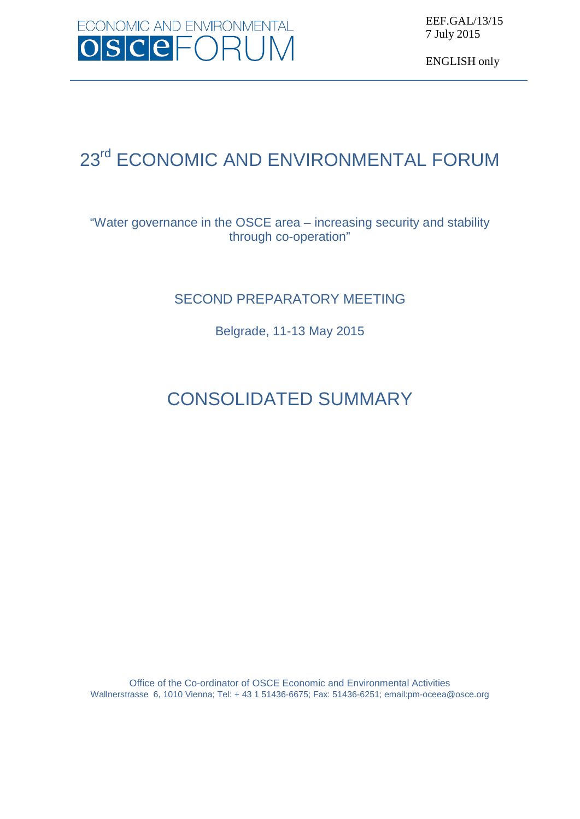

EEF.GAL/13/15 7 July 2015

ENGLISH only

# 23<sup>rd</sup> ECONOMIC AND ENVIRONMENTAL FORUM

## "Water governance in the OSCE area – increasing security and stability through co-operation"

## SECOND PREPARATORY MEETING

Belgrade, 11-13 May 2015

# CONSOLIDATED SUMMARY

Office of the Co-ordinator of OSCE Economic and Environmental Activities Wallnerstrasse 6, 1010 Vienna; Tel: + 43 1 51436-6675; Fax: 51436-6251; emai[l:pm-oceea@osce.org](mailto:pm-oceea@osce.org)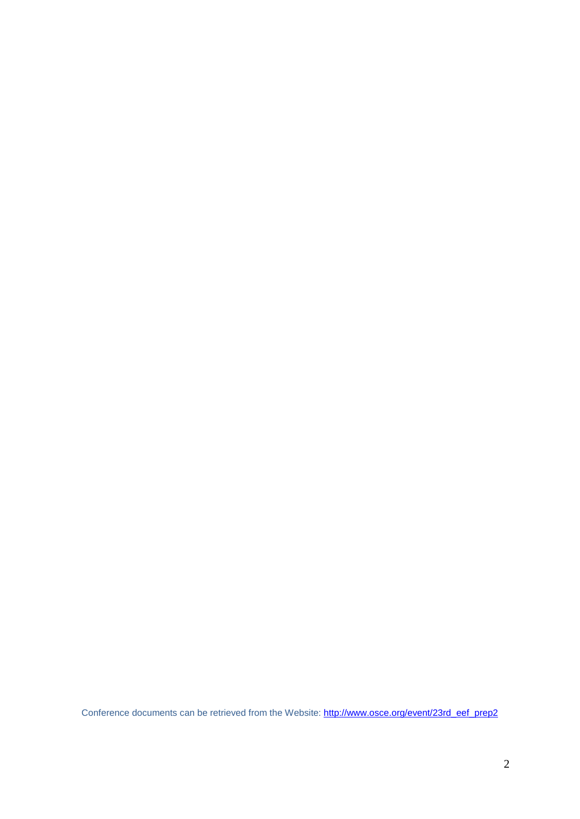Conference documents can be retrieved from the Website: [http://www.osce.org/event/23rd\\_eef\\_prep2](http://www.osce.org/event/23rd_eef_prep2)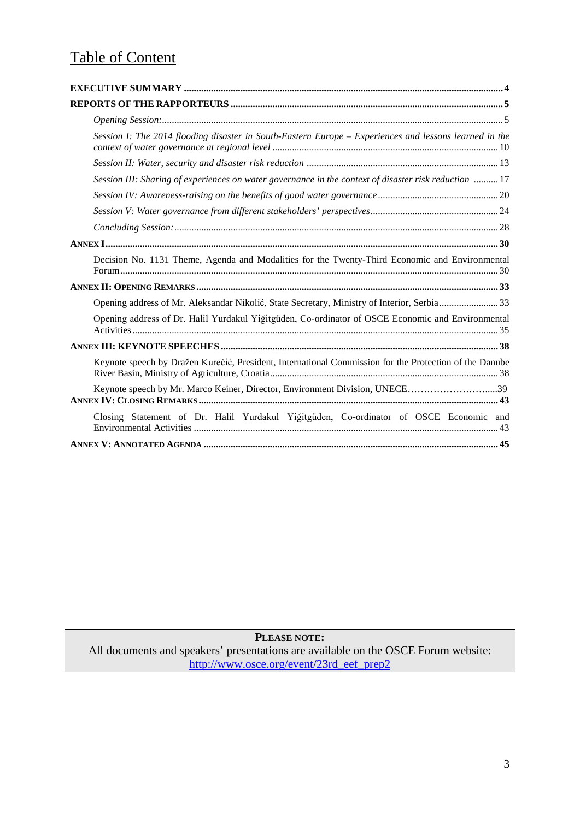## Table of Content

| Session I: The 2014 flooding disaster in South-Eastern Europe - Experiences and lessons learned in the |
|--------------------------------------------------------------------------------------------------------|
|                                                                                                        |
| Session III: Sharing of experiences on water governance in the context of disaster risk reduction  17  |
|                                                                                                        |
|                                                                                                        |
|                                                                                                        |
|                                                                                                        |
| Decision No. 1131 Theme, Agenda and Modalities for the Twenty-Third Economic and Environmental         |
|                                                                                                        |
| Opening address of Mr. Aleksandar Nikolić, State Secretary, Ministry of Interior, Serbia33             |
| Opening address of Dr. Halil Yurdakul Yiğitgüden, Co-ordinator of OSCE Economic and Environmental      |
|                                                                                                        |
| Keynote speech by Dražen Kurečić, President, International Commission for the Protection of the Danube |
| Keynote speech by Mr. Marco Keiner, Director, Environment Division, UNECE39                            |
| Closing Statement of Dr. Halil Yurdakul Yiğitgüden, Co-ordinator of OSCE Economic and                  |
|                                                                                                        |

## **PLEASE NOTE:**

All documents and speakers' presentations are available on the OSCE Forum website: [http://www.osce.org/event/23rd\\_eef\\_prep2](http://www.osce.org/event/23rd_eef_prep2)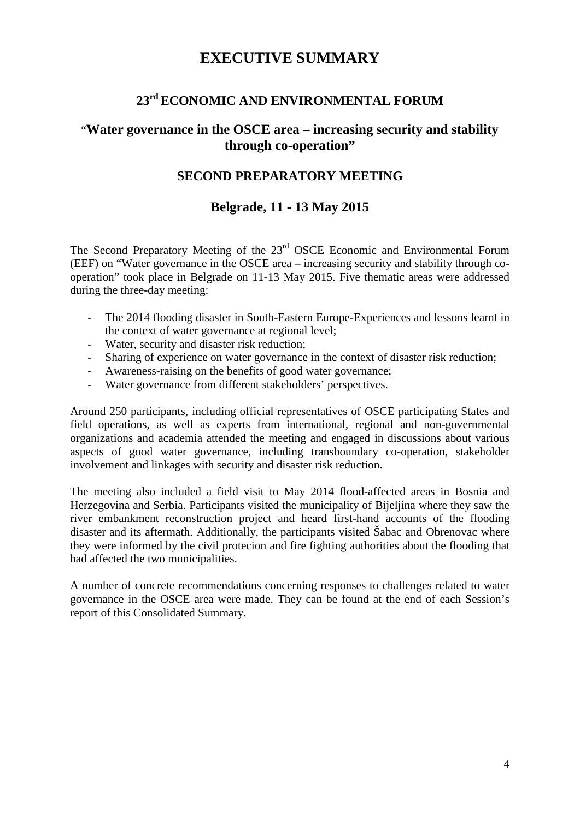## **EXECUTIVE SUMMARY**

## **23rd ECONOMIC AND ENVIRONMENTAL FORUM**

## <span id="page-3-0"></span>"**Water governance in the OSCE area – increasing security and stability through co-operation"**

## **SECOND PREPARATORY MEETING**

## **Belgrade, 11 - 13 May 2015**

The Second Preparatory Meeting of the 23<sup>rd</sup> OSCE Economic and Environmental Forum (EEF) on "Water governance in the OSCE area – increasing security and stability through cooperation" took place in Belgrade on 11-13 May 2015. Five thematic areas were addressed during the three-day meeting:

- The 2014 flooding disaster in South-Eastern Europe-Experiences and lessons learnt in the context of water governance at regional level;
- Water, security and disaster risk reduction;
- Sharing of experience on water governance in the context of disaster risk reduction;
- Awareness-raising on the benefits of good water governance;
- Water governance from different stakeholders' perspectives.

Around 250 participants, including official representatives of OSCE participating States and field operations, as well as experts from international, regional and non-governmental organizations and academia attended the meeting and engaged in discussions about various aspects of good water governance, including transboundary co-operation, stakeholder involvement and linkages with security and disaster risk reduction.

The meeting also included a field visit to May 2014 flood-affected areas in Bosnia and Herzegovina and Serbia. Participants visited the municipality of Bijeljina where they saw the river embankment reconstruction project and heard first-hand accounts of the flooding disaster and its aftermath. Additionally, the participants visited Šabac and Obrenovac where they were informed by the civil protecion and fire fighting authorities about the flooding that had affected the two municipalities.

A number of concrete recommendations concerning responses to challenges related to water governance in the OSCE area were made. They can be found at the end of each Session's report of this Consolidated Summary.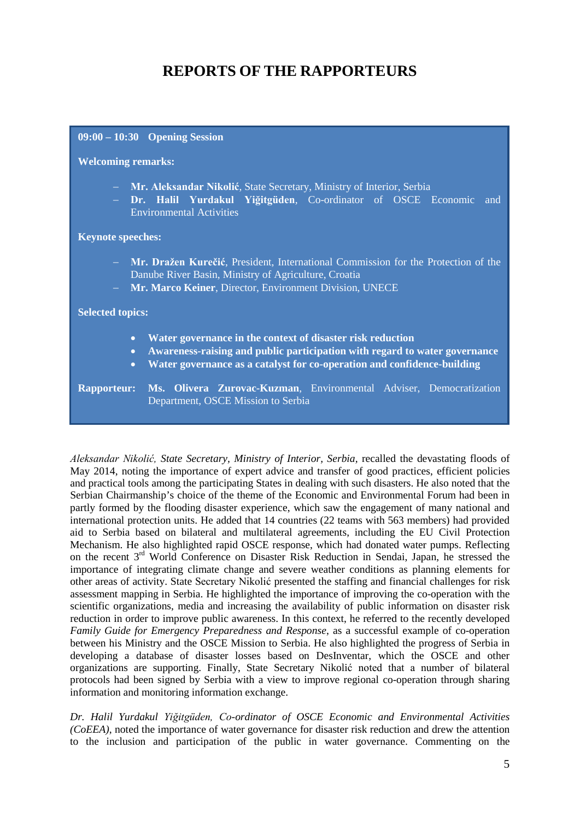## **REPORTS OF THE RAPPORTEURS**

<span id="page-4-0"></span>

| $09:00 - 10:30$ Opening Session                                                                                                                                                                                                                            |  |
|------------------------------------------------------------------------------------------------------------------------------------------------------------------------------------------------------------------------------------------------------------|--|
| <b>Welcoming remarks:</b>                                                                                                                                                                                                                                  |  |
| - Mr. Aleksandar Nikolić, State Secretary, Ministry of Interior, Serbia<br>- Dr. Halil Yurdakul Yiğitgüden, Co-ordinator of OSCE Economic and<br><b>Environmental Activities</b>                                                                           |  |
| <b>Keynote speeches:</b>                                                                                                                                                                                                                                   |  |
| - Mr. Dražen Kurečić, President, International Commission for the Protection of the<br>Danube River Basin, Ministry of Agriculture, Croatia<br>- Mr. Marco Keiner, Director, Environment Division, UNECE                                                   |  |
| <b>Selected topics:</b>                                                                                                                                                                                                                                    |  |
| Water governance in the context of disaster risk reduction<br>$\bullet$<br>Awareness-raising and public participation with regard to water governance<br>$\bullet$<br>Water governance as a catalyst for co-operation and confidence-building<br>$\bullet$ |  |
| Ms. Olivera Zurovac-Kuzman, Environmental Adviser, Democratization<br><b>Rapporteur:</b><br>Department, OSCE Mission to Serbia                                                                                                                             |  |

*Aleksandar Nikolić, State Secretary, Ministry of Interior, Serbia,* recalled the devastating floods of May 2014, noting the importance of expert advice and transfer of good practices, efficient policies and practical tools among the participating States in dealing with such disasters. He also noted that the Serbian Chairmanship's choice of the theme of the Economic and Environmental Forum had been in partly formed by the flooding disaster experience, which saw the engagement of many national and international protection units. He added that 14 countries (22 teams with 563 members) had provided aid to Serbia based on bilateral and multilateral agreements, including the EU Civil Protection Mechanism. He also highlighted rapid OSCE response, which had donated water pumps. Reflecting on the recent 3rd World Conference on Disaster Risk Reduction in Sendai, Japan, he stressed the importance of integrating climate change and severe weather conditions as planning elements for other areas of activity. State Secretary Nikolić presented the staffing and financial challenges for risk assessment mapping in Serbia. He highlighted the importance of improving the co-operation with the scientific organizations, media and increasing the availability of public information on disaster risk reduction in order to improve public awareness. In this context, he referred to the recently developed *Family Guide for Emergency Preparedness and Response*, as a successful example of co-operation between his Ministry and the OSCE Mission to Serbia. He also highlighted the progress of Serbia in developing a database of disaster losses based on DesInventar, which the OSCE and other organizations are supporting. Finally, State Secretary Nikolić noted that a number of bilateral protocols had been signed by Serbia with a view to improve regional co-operation through sharing information and monitoring information exchange.

*Dr. Halil Yurdakul Yiğitgüden, Co-ordinator of OSCE Economic and Environmental Activities (CoEEA)*, noted the importance of water governance for disaster risk reduction and drew the attention to the inclusion and participation of the public in water governance. Commenting on the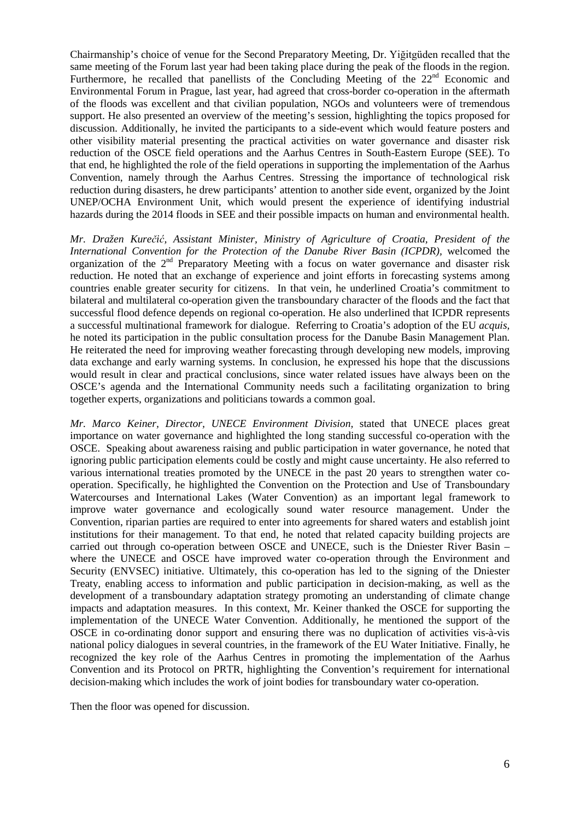Chairmanship's choice of venue for the Second Preparatory Meeting, Dr. Yiğitgüden recalled that the same meeting of the Forum last year had been taking place during the peak of the floods in the region. Furthermore, he recalled that panellists of the Concluding Meeting of the  $22<sup>nd</sup>$  Economic and Environmental Forum in Prague, last year, had agreed that cross-border co-operation in the aftermath of the floods was excellent and that civilian population, NGOs and volunteers were of tremendous support. He also presented an overview of the meeting's session, highlighting the topics proposed for discussion. Additionally, he invited the participants to a side-event which would feature posters and other visibility material presenting the practical activities on water governance and disaster risk reduction of the OSCE field operations and the Aarhus Centres in South-Eastern Europe (SEE). To that end, he highlighted the role of the field operations in supporting the implementation of the Aarhus Convention, namely through the Aarhus Centres. Stressing the importance of technological risk reduction during disasters, he drew participants' attention to another side event, organized by the Joint UNEP/OCHA Environment Unit, which would present the experience of identifying industrial hazards during the 2014 floods in SEE and their possible impacts on human and environmental health.

*Mr. Dražen Kurečić, Assistant Minister, Ministry of Agriculture of Croatia, President of the International Convention for the Protection of the Danube River Basin (ICPDR),* welcomed the organization of the  $2<sup>nd</sup>$  Preparatory Meeting with a focus on water governance and disaster risk reduction. He noted that an exchange of experience and joint efforts in forecasting systems among countries enable greater security for citizens. In that vein, he underlined Croatia's commitment to bilateral and multilateral co-operation given the transboundary character of the floods and the fact that successful flood defence depends on regional co-operation. He also underlined that ICPDR represents a successful multinational framework for dialogue. Referring to Croatia's adoption of the EU *acquis,*  he noted its participation in the public consultation process for the Danube Basin Management Plan. He reiterated the need for improving weather forecasting through developing new models, improving data exchange and early warning systems. In conclusion, he expressed his hope that the discussions would result in clear and practical conclusions, since water related issues have always been on the OSCE's agenda and the International Community needs such a facilitating organization to bring together experts, organizations and politicians towards a common goal.

*Mr. Marco Keiner, Director, UNECE Environment Division,* stated that UNECE places great importance on water governance and highlighted the long standing successful co-operation with the OSCE. Speaking about awareness raising and public participation in water governance, he noted that ignoring public participation elements could be costly and might cause uncertainty. He also referred to various international treaties promoted by the UNECE in the past 20 years to strengthen water cooperation. Specifically, he highlighted the Convention on the Protection and Use of Transboundary Watercourses and International Lakes (Water Convention) as an important legal framework to improve water governance and ecologically sound water resource management. Under the Convention, riparian parties are required to enter into agreements for shared waters and establish joint institutions for their management. To that end, he noted that related capacity building projects are carried out through co-operation between OSCE and UNECE, such is the Dniester River Basin – where the UNECE and OSCE have improved water co-operation through the Environment and Security (ENVSEC) initiative. Ultimately, this co-operation has led to the signing of the Dniester Treaty, enabling access to information and public participation in decision-making, as well as the development of a transboundary adaptation strategy promoting an understanding of climate change impacts and adaptation measures. In this context, Mr. Keiner thanked the OSCE for supporting the implementation of the UNECE Water Convention. Additionally, he mentioned the support of the OSCE in co-ordinating donor support and ensuring there was no duplication of activities vis-à-vis national policy dialogues in several countries, in the framework of the EU Water Initiative. Finally, he recognized the key role of the Aarhus Centres in promoting the implementation of the Aarhus Convention and its Protocol on PRTR, highlighting the Convention's requirement for international decision-making which includes the work of joint bodies for transboundary water co-operation.

Then the floor was opened for discussion.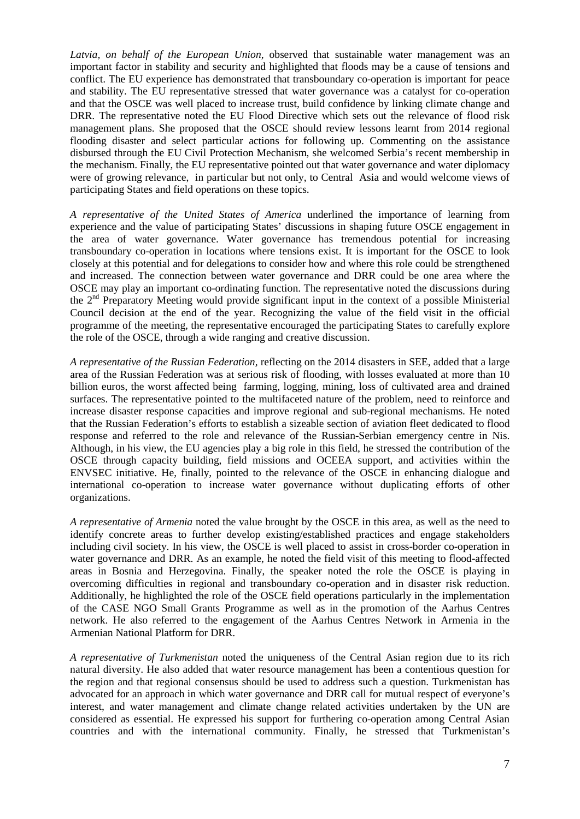*Latvia, on behalf of the European Union,* observed that sustainable water management was an important factor in stability and security and highlighted that floods may be a cause of tensions and conflict. The EU experience has demonstrated that transboundary co-operation is important for peace and stability. The EU representative stressed that water governance was a catalyst for co-operation and that the OSCE was well placed to increase trust, build confidence by linking climate change and DRR. The representative noted the EU Flood Directive which sets out the relevance of flood risk management plans. She proposed that the OSCE should review lessons learnt from 2014 regional flooding disaster and select particular actions for following up. Commenting on the assistance disbursed through the EU Civil Protection Mechanism, she welcomed Serbia's recent membership in the mechanism. Finally, the EU representative pointed out that water governance and water diplomacy were of growing relevance, in particular but not only, to Central Asia and would welcome views of participating States and field operations on these topics.

*A representative of the United States of America* underlined the importance of learning from experience and the value of participating States' discussions in shaping future OSCE engagement in the area of water governance. Water governance has tremendous potential for increasing transboundary co-operation in locations where tensions exist. It is important for the OSCE to look closely at this potential and for delegations to consider how and where this role could be strengthened and increased. The connection between water governance and DRR could be one area where the OSCE may play an important co-ordinating function. The representative noted the discussions during the  $2<sup>nd</sup>$  Preparatory Meeting would provide significant input in the context of a possible Ministerial Council decision at the end of the year. Recognizing the value of the field visit in the official programme of the meeting, the representative encouraged the participating States to carefully explore the role of the OSCE, through a wide ranging and creative discussion.

*A representative of the Russian Federation,* reflecting on the 2014 disasters in SEE, added that a large area of the Russian Federation was at serious risk of flooding, with losses evaluated at more than 10 billion euros, the worst affected being farming, logging, mining, loss of cultivated area and drained surfaces. The representative pointed to the multifaceted nature of the problem, need to reinforce and increase disaster response capacities and improve regional and sub-regional mechanisms. He noted that the Russian Federation's efforts to establish a sizeable section of aviation fleet dedicated to flood response and referred to the role and relevance of the Russian-Serbian emergency centre in Nis. Although, in his view, the EU agencies play a big role in this field, he stressed the contribution of the OSCE through capacity building, field missions and OCEEA support, and activities within the ENVSEC initiative. He, finally, pointed to the relevance of the OSCE in enhancing dialogue and international co-operation to increase water governance without duplicating efforts of other organizations.

*A representative of Armenia* noted the value brought by the OSCE in this area, as well as the need to identify concrete areas to further develop existing/established practices and engage stakeholders including civil society. In his view, the OSCE is well placed to assist in cross-border co-operation in water governance and DRR. As an example, he noted the field visit of this meeting to flood-affected areas in Bosnia and Herzegovina. Finally, the speaker noted the role the OSCE is playing in overcoming difficulties in regional and transboundary co-operation and in disaster risk reduction. Additionally, he highlighted the role of the OSCE field operations particularly in the implementation of the CASE NGO Small Grants Programme as well as in the promotion of the Aarhus Centres network. He also referred to the engagement of the Aarhus Centres Network in Armenia in the Armenian National Platform for DRR.

*A representative of Turkmenistan* noted the uniqueness of the Central Asian region due to its rich natural diversity. He also added that water resource management has been a contentious question for the region and that regional consensus should be used to address such a question. Turkmenistan has advocated for an approach in which water governance and DRR call for mutual respect of everyone's interest, and water management and climate change related activities undertaken by the UN are considered as essential. He expressed his support for furthering co-operation among Central Asian countries and with the international community*.* Finally, he stressed that Turkmenistan's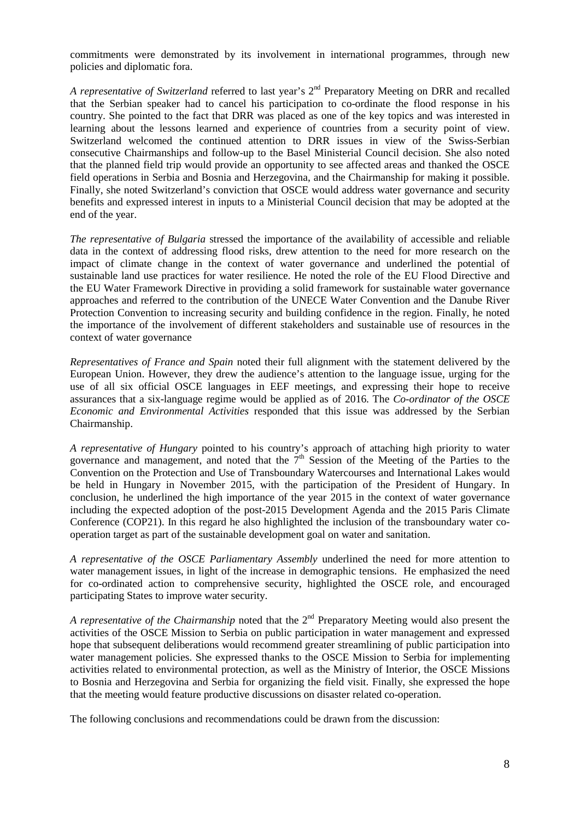commitments were demonstrated by its involvement in international programmes, through new policies and diplomatic fora.

*A representative of Switzerland* referred to last year's 2<sup>nd</sup> Preparatory Meeting on DRR and recalled that the Serbian speaker had to cancel his participation to co-ordinate the flood response in his country. She pointed to the fact that DRR was placed as one of the key topics and was interested in learning about the lessons learned and experience of countries from a security point of view. Switzerland welcomed the continued attention to DRR issues in view of the Swiss-Serbian consecutive Chairmanships and follow-up to the Basel Ministerial Council decision. She also noted that the planned field trip would provide an opportunity to see affected areas and thanked the OSCE field operations in Serbia and Bosnia and Herzegovina, and the Chairmanship for making it possible. Finally, she noted Switzerland's conviction that OSCE would address water governance and security benefits and expressed interest in inputs to a Ministerial Council decision that may be adopted at the end of the year.

*The representative of Bulgaria* stressed the importance of the availability of accessible and reliable data in the context of addressing flood risks, drew attention to the need for more research on the impact of climate change in the context of water governance and underlined the potential of sustainable land use practices for water resilience. He noted the role of the EU Flood Directive and the EU Water Framework Directive in providing a solid framework for sustainable water governance approaches and referred to the contribution of the UNECE Water Convention and the Danube River Protection Convention to increasing security and building confidence in the region. Finally, he noted the importance of the involvement of different stakeholders and sustainable use of resources in the context of water governance

*Representatives of France and Spain* noted their full alignment with the statement delivered by the European Union. However, they drew the audience's attention to the language issue, urging for the use of all six official OSCE languages in EEF meetings, and expressing their hope to receive assurances that a six-language regime would be applied as of 2016. The *Co-ordinator of the OSCE Economic and Environmental Activities* responded that this issue was addressed by the Serbian Chairmanship.

*A representative of Hungary* pointed to his country's approach of attaching high priority to water governance and management, and noted that the  $7<sup>th</sup>$  Session of the Meeting of the Parties to the [Convention on the Protection and Use of Transboundary](http://www.unece.org/env/water/text/text.html) Watercourses and International Lakes would be held in Hungary in November 2015, with the participation of the President of Hungary. In conclusion, he underlined the high importance of the year 2015 in the context of water governance including the expected adoption of the post-2015 Development Agenda and the 2015 Paris Climate Conference (COP21). In this regard he also highlighted the inclusion of the transboundary water cooperation target as part of the sustainable development goal on water and sanitation.

*A representative of the OSCE Parliamentary Assembly* underlined the need for more attention to water management issues, in light of the increase in demographic tensions. He emphasized the need for co-ordinated action to comprehensive security, highlighted the OSCE role, and encouraged participating States to improve water security.

*A representative of the Chairmanship* noted that the 2<sup>nd</sup> Preparatory Meeting would also present the activities of the OSCE Mission to Serbia on public participation in water management and expressed hope that subsequent deliberations would recommend greater streamlining of public participation into water management policies. She expressed thanks to the OSCE Mission to Serbia for implementing activities related to environmental protection, as well as the Ministry of Interior, the OSCE Missions to Bosnia and Herzegovina and Serbia for organizing the field visit. Finally, she expressed the hope that the meeting would feature productive discussions on disaster related co-operation.

The following conclusions and recommendations could be drawn from the discussion: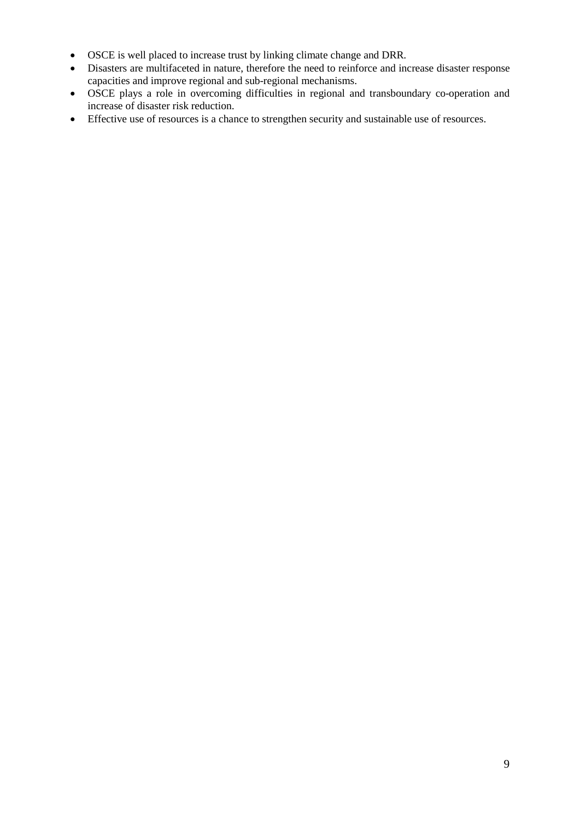- OSCE is well placed to increase trust by linking climate change and DRR.
- Disasters are multifaceted in nature, therefore the need to reinforce and increase disaster response capacities and improve regional and sub-regional mechanisms.
- OSCE plays a role in overcoming difficulties in regional and transboundary co-operation and increase of disaster risk reduction.
- Effective use of resources is a chance to strengthen security and sustainable use of resources.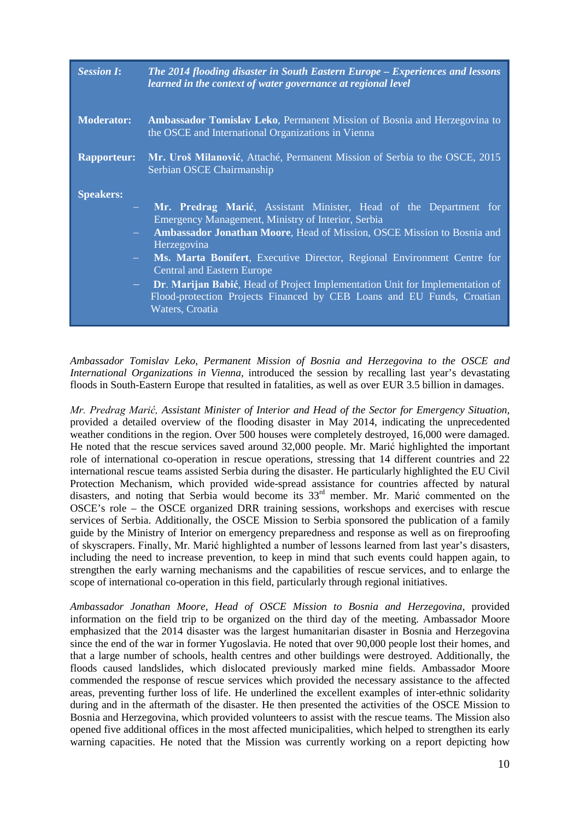| <b>Session I:</b>                                 | The 2014 flooding disaster in South Eastern Europe – Experiences and lessons<br>learned in the context of water governance at regional level                                                                                                                                                                                                                                                                                   |
|---------------------------------------------------|--------------------------------------------------------------------------------------------------------------------------------------------------------------------------------------------------------------------------------------------------------------------------------------------------------------------------------------------------------------------------------------------------------------------------------|
| <b>Moderator:</b>                                 | <b>Ambassador Tomislav Leko, Permanent Mission of Bosnia and Herzegovina to</b><br>the OSCE and International Organizations in Vienna                                                                                                                                                                                                                                                                                          |
| <b>Rapporteur:</b>                                | Mr. Uroš Milanović, Attaché, Permanent Mission of Serbia to the OSCE, 2015<br>Serbian OSCE Chairmanship                                                                                                                                                                                                                                                                                                                        |
| <b>Speakers:</b><br>$\sim 100$<br>$\sim$ 10 $\pm$ | Mr. Predrag Marić, Assistant Minister, Head of the Department for<br><b>Emergency Management, Ministry of Interior, Serbia</b><br><b>Ambassador Jonathan Moore, Head of Mission, OSCE Mission to Bosnia and</b><br>Herzegovina<br>Ms. Marta Bonifert, Executive Director, Regional Environment Centre for<br><b>Central and Eastern Europe</b><br>Dr. Marijan Babić, Head of Project Implementation Unit for Implementation of |
|                                                   | Flood-protection Projects Financed by CEB Loans and EU Funds, Croatian<br>Waters, Croatia                                                                                                                                                                                                                                                                                                                                      |

*Ambassador Tomislav Leko*, *Permanent Mission of Bosnia and Herzegovina to the OSCE and International Organizations in Vienna,* introduced the session by recalling last year's devastating floods in South-Eastern Europe that resulted in fatalities, as well as over EUR 3.5 billion in damages.

*Mr. Predrag Marić, Assistant Minister of Interior and Head of the Sector for Emergency Situation,*  provided a detailed overview of the flooding disaster in May 2014, indicating the unprecedented weather conditions in the region. Over 500 houses were completely destroyed, 16,000 were damaged. He noted that the rescue services saved around 32,000 people. Mr. Marić highlighted the important role of international co-operation in rescue operations, stressing that 14 different countries and 22 international rescue teams assisted Serbia during the disaster. He particularly highlighted the EU Civil Protection Mechanism, which provided wide-spread assistance for countries affected by natural disasters, and noting that Serbia would become its 33<sup>rd</sup> member. Mr. Marić commented on the OSCE's role – the OSCE organized DRR training sessions, workshops and exercises with rescue services of Serbia. Additionally, the OSCE Mission to Serbia sponsored the publication of a family guide by the Ministry of Interior on emergency preparedness and response as well as on fireproofing of skyscrapers. Finally, Mr. Marić highlighted a number of lessons learned from last year's disasters, including the need to increase prevention, to keep in mind that such events could happen again, to strengthen the early warning mechanisms and the capabilities of rescue services, and to enlarge the scope of international co-operation in this field, particularly through regional initiatives.

*Ambassador Jonathan Moore, Head of OSCE Mission to Bosnia and Herzegovina,* provided information on the field trip to be organized on the third day of the meeting. Ambassador Moore emphasized that the 2014 disaster was the largest humanitarian disaster in Bosnia and Herzegovina since the end of the war in former Yugoslavia. He noted that over 90,000 people lost their homes, and that a large number of schools, health centres and other buildings were destroyed. Additionally, the floods caused landslides, which dislocated previously marked mine fields. Ambassador Moore commended the response of rescue services which provided the necessary assistance to the affected areas, preventing further loss of life. He underlined the excellent examples of inter-ethnic solidarity during and in the aftermath of the disaster. He then presented the activities of the OSCE Mission to Bosnia and Herzegovina, which provided volunteers to assist with the rescue teams. The Mission also opened five additional offices in the most affected municipalities, which helped to strengthen its early warning capacities. He noted that the Mission was currently working on a report depicting how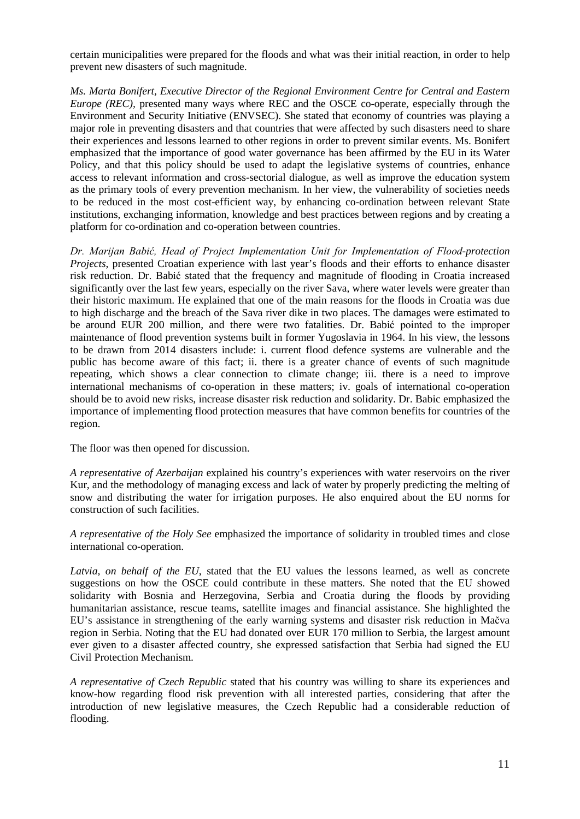certain municipalities were prepared for the floods and what was their initial reaction, in order to help prevent new disasters of such magnitude.

*Ms. Marta Bonifert, Executive Director of the Regional Environment Centre for Central and Eastern Europe (REC),* presented many ways where REC and the OSCE co-operate, especially through the Environment and Security Initiative (ENVSEC). She stated that economy of countries was playing a major role in preventing disasters and that countries that were affected by such disasters need to share their experiences and lessons learned to other regions in order to prevent similar events. Ms. Bonifert emphasized that the importance of good water governance has been affirmed by the EU in its Water Policy, and that this policy should be used to adapt the legislative systems of countries, enhance access to relevant information and cross-sectorial dialogue, as well as improve the education system as the primary tools of every prevention mechanism. In her view, the vulnerability of societies needs to be reduced in the most cost-efficient way, by enhancing co-ordination between relevant State institutions, exchanging information, knowledge and best practices between regions and by creating a platform for co-ordination and co-operation between countries.

*Dr. Marijan Babić, Head of Project Implementation Unit for Implementation of Flood-protection Projects*, presented Croatian experience with last year's floods and their efforts to enhance disaster risk reduction. Dr. Babić stated that the frequency and magnitude of flooding in Croatia increased significantly over the last few years, especially on the river Sava, where water levels were greater than their historic maximum. He explained that one of the main reasons for the floods in Croatia was due to high discharge and the breach of the Sava river dike in two places. The damages were estimated to be around EUR 200 million, and there were two fatalities. Dr. Babić pointed to the improper maintenance of flood prevention systems built in former Yugoslavia in 1964. In his view, the lessons to be drawn from 2014 disasters include: i. current flood defence systems are vulnerable and the public has become aware of this fact; ii. there is a greater chance of events of such magnitude repeating, which shows a clear connection to climate change; iii. there is a need to improve international mechanisms of co-operation in these matters; iv. goals of international co-operation should be to avoid new risks, increase disaster risk reduction and solidarity. Dr. Babic emphasized the importance of implementing flood protection measures that have common benefits for countries of the region.

The floor was then opened for discussion.

*A representative of Azerbaijan* explained his country's experiences with water reservoirs on the river Kur, and the methodology of managing excess and lack of water by properly predicting the melting of snow and distributing the water for irrigation purposes. He also enquired about the EU norms for construction of such facilities.

*A representative of the Holy See* emphasized the importance of solidarity in troubled times and close international co-operation.

Latvia, on behalf of the EU, stated that the EU values the lessons learned, as well as concrete suggestions on how the OSCE could contribute in these matters. She noted that the EU showed solidarity with Bosnia and Herzegovina, Serbia and Croatia during the floods by providing humanitarian assistance, rescue teams, satellite images and financial assistance. She highlighted the EU's assistance in strengthening of the early warning systems and disaster risk reduction in Mačva region in Serbia. Noting that the EU had donated over EUR 170 million to Serbia, the largest amount ever given to a disaster affected country, she expressed satisfaction that Serbia had signed the EU Civil Protection Mechanism.

*A representative of Czech Republic* stated that his country was willing to share its experiences and know-how regarding flood risk prevention with all interested parties, considering that after the introduction of new legislative measures, the Czech Republic had a considerable reduction of flooding.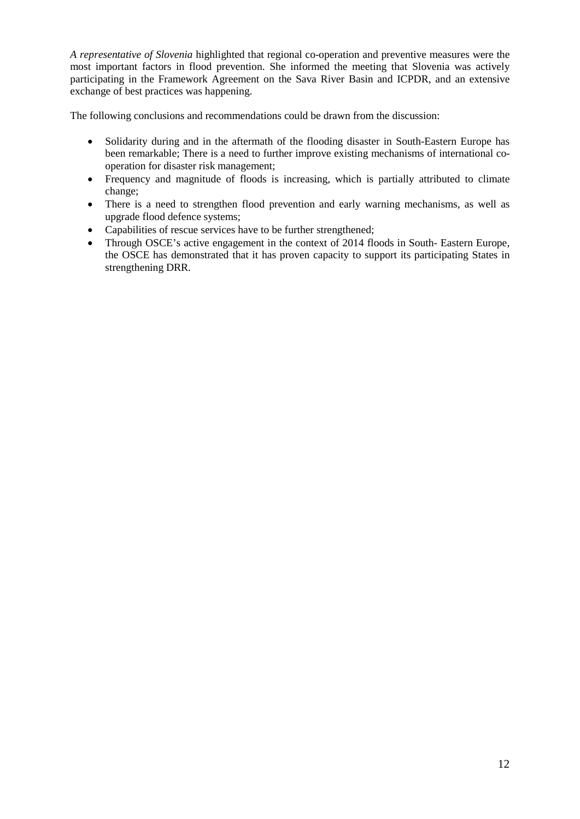*A representative of Slovenia* highlighted that regional co-operation and preventive measures were the most important factors in flood prevention. She informed the meeting that Slovenia was actively participating in the Framework Agreement on the Sava River Basin and ICPDR, and an extensive exchange of best practices was happening.

The following conclusions and recommendations could be drawn from the discussion:

- Solidarity during and in the aftermath of the flooding disaster in South-Eastern Europe has been remarkable; There is a need to further improve existing mechanisms of international cooperation for disaster risk management;
- Frequency and magnitude of floods is increasing, which is partially attributed to climate change;
- There is a need to strengthen flood prevention and early warning mechanisms, as well as upgrade flood defence systems;
- Capabilities of rescue services have to be further strengthened;
- Through OSCE's active engagement in the context of 2014 floods in South-Eastern Europe, the OSCE has demonstrated that it has proven capacity to support its participating States in strengthening DRR.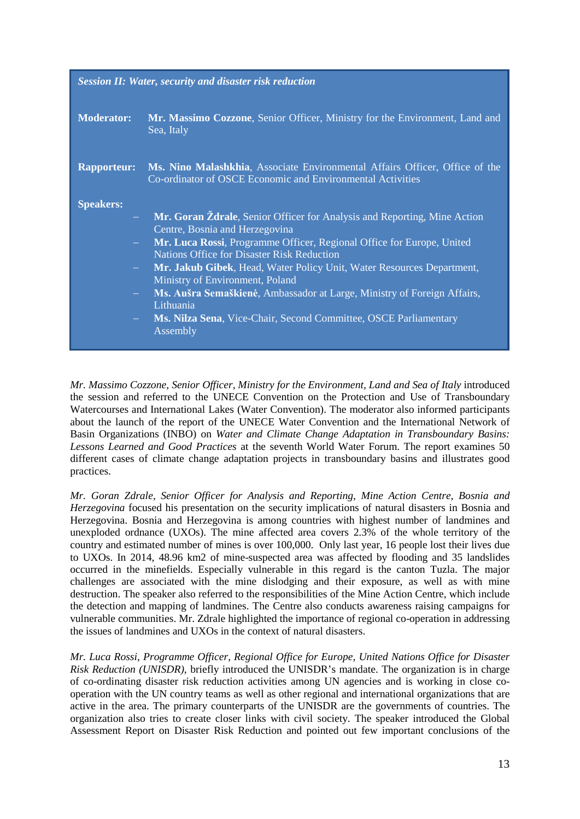| <b>Session II: Water, security and disaster risk reduction</b> |                                                                                                                                           |
|----------------------------------------------------------------|-------------------------------------------------------------------------------------------------------------------------------------------|
| <b>Moderator:</b>                                              | Mr. Massimo Cozzone, Senior Officer, Ministry for the Environment, Land and<br>Sea, Italy                                                 |
| <b>Rapporteur:</b>                                             | Ms. Nino Malashkhia, Associate Environmental Affairs Officer, Office of the<br>Co-ordinator of OSCE Economic and Environmental Activities |
| <b>Speakers:</b>                                               |                                                                                                                                           |
|                                                                | Mr. Goran Ždrale, Senior Officer for Analysis and Reporting, Mine Action<br>Centre, Bosnia and Herzegovina                                |
|                                                                | Mr. Luca Rossi, Programme Officer, Regional Office for Europe, United<br><b>Nations Office for Disaster Risk Reduction</b>                |
|                                                                | Mr. Jakub Gibek, Head, Water Policy Unit, Water Resources Department,<br>Ministry of Environment, Poland                                  |
|                                                                | Ms. Aušra Semaškienė, Ambassador at Large, Ministry of Foreign Affairs,<br>Lithuania                                                      |
| $\frac{1}{2}$ and $\frac{1}{2}$                                | Ms. Nilza Sena, Vice-Chair, Second Committee, OSCE Parliamentary<br>Assembly                                                              |

*Mr. Massimo Cozzone, Senior Officer, Ministry for the Environment, Land and Sea of Italy* introduced the session and referred to the UNECE [Convention on the Protection and Use of Transboundary](http://www.unece.org/env/water/text/text.html)  [Watercourses and International Lakes \(Water Convention\). The moderator also](http://www.unece.org/env/water/text/text.html) informed participants about the launch of the report of the UNECE Water Convention and the International Network of Basin Organizations (INBO) on *Water and Climate Change Adaptation in Transboundary Basins: Lessons Learned and Good Practices* at the seventh World Water Forum. The report examines 50 different cases of climate change adaptation projects in transboundary basins and illustrates good practices.

*Mr. Goran Zdrale, Senior Officer for Analysis and Reporting, Mine Action Centre, Bosnia and Herzegovina* focused his presentation on the security implications of natural disasters in Bosnia and Herzegovina. Bosnia and Herzegovina is among countries with highest number of landmines and unexploded ordnance (UXOs). The mine affected area covers 2.3% of the whole territory of the country and estimated number of mines is over 100,000. Only last year, 16 people lost their lives due to UXOs. In 2014, 48.96 km2 of mine-suspected area was affected by flooding and 35 landslides occurred in the minefields. Especially vulnerable in this regard is the canton Tuzla. The major challenges are associated with the mine dislodging and their exposure, as well as with mine destruction. The speaker also referred to the responsibilities of the Mine Action Centre, which include the detection and mapping of landmines. The Centre also conducts awareness raising campaigns for vulnerable communities. Mr. Zdrale highlighted the importance of regional co-operation in addressing the issues of landmines and UXOs in the context of natural disasters.

*Mr. Luca Rossi, Programme Officer, Regional Office for Europe, United Nations Office for Disaster Risk Reduction (UNISDR),* briefly introduced the UNISDR's mandate. The organization is in charge of co-ordinating disaster risk reduction activities among UN agencies and is working in close cooperation with the UN country teams as well as other regional and international organizations that are active in the area. The primary counterparts of the UNISDR are the governments of countries. The organization also tries to create closer links with civil society. The speaker introduced the Global Assessment Report on Disaster Risk Reduction and pointed out few important conclusions of the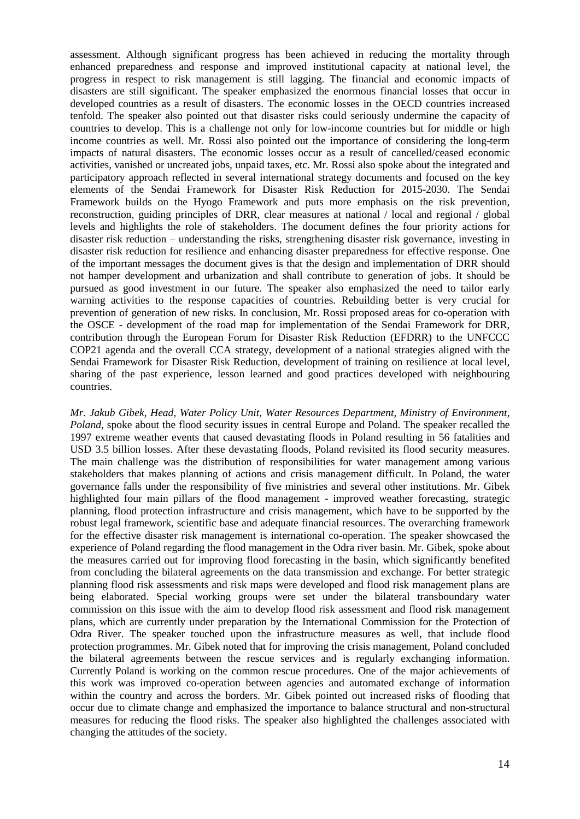assessment. Although significant progress has been achieved in reducing the mortality through enhanced preparedness and response and improved institutional capacity at national level, the progress in respect to risk management is still lagging. The financial and economic impacts of disasters are still significant. The speaker emphasized the enormous financial losses that occur in developed countries as a result of disasters. The economic losses in the OECD countries increased tenfold. The speaker also pointed out that disaster risks could seriously undermine the capacity of countries to develop. This is a challenge not only for low-income countries but for middle or high income countries as well. Mr. Rossi also pointed out the importance of considering the long-term impacts of natural disasters. The economic losses occur as a result of cancelled/ceased economic activities, vanished or uncreated jobs, unpaid taxes, etc. Mr. Rossi also spoke about the integrated and participatory approach reflected in several international strategy documents and focused on the key elements of the Sendai Framework for Disaster Risk Reduction for 2015-2030. The Sendai Framework builds on the Hyogo Framework and puts more emphasis on the risk prevention, reconstruction, guiding principles of DRR, clear measures at national / local and regional / global levels and highlights the role of stakeholders. The document defines the four priority actions for disaster risk reduction – understanding the risks, strengthening disaster risk governance, investing in disaster risk reduction for resilience and enhancing disaster preparedness for effective response. One of the important messages the document gives is that the design and implementation of DRR should not hamper development and urbanization and shall contribute to generation of jobs. It should be pursued as good investment in our future. The speaker also emphasized the need to tailor early warning activities to the response capacities of countries. Rebuilding better is very crucial for prevention of generation of new risks. In conclusion, Mr. Rossi proposed areas for co-operation with the OSCE - development of the road map for implementation of the Sendai Framework for DRR, contribution through the European Forum for Disaster Risk Reduction (EFDRR) to the UNFCCC COP21 agenda and the overall CCA strategy, development of a national strategies aligned with the Sendai Framework for Disaster Risk Reduction, development of training on resilience at local level, sharing of the past experience, lesson learned and good practices developed with neighbouring countries.

*Mr. Jakub Gibek, Head, Water Policy Unit, Water Resources Department, Ministry of Environment, Poland,* spoke about the flood security issues in central Europe and Poland. The speaker recalled the 1997 extreme weather events that caused devastating floods in Poland resulting in 56 fatalities and USD 3.5 billion losses. After these devastating floods, Poland revisited its flood security measures. The main challenge was the distribution of responsibilities for water management among various stakeholders that makes planning of actions and crisis management difficult. In Poland, the water governance falls under the responsibility of five ministries and several other institutions. Mr. Gibek highlighted four main pillars of the flood management - improved weather forecasting, strategic planning, flood protection infrastructure and crisis management, which have to be supported by the robust legal framework, scientific base and adequate financial resources. The overarching framework for the effective disaster risk management is international co-operation. The speaker showcased the experience of Poland regarding the flood management in the Odra river basin. Mr. Gibek, spoke about the measures carried out for improving flood forecasting in the basin, which significantly benefited from concluding the bilateral agreements on the data transmission and exchange. For better strategic planning flood risk assessments and risk maps were developed and flood risk management plans are being elaborated. Special working groups were set under the bilateral transboundary water commission on this issue with the aim to develop flood risk assessment and flood risk management plans, which are currently under preparation by the International Commission for the Protection of Odra River. The speaker touched upon the infrastructure measures as well, that include flood protection programmes. Mr. Gibek noted that for improving the crisis management, Poland concluded the bilateral agreements between the rescue services and is regularly exchanging information. Currently Poland is working on the common rescue procedures. One of the major achievements of this work was improved co-operation between agencies and automated exchange of information within the country and across the borders. Mr. Gibek pointed out increased risks of flooding that occur due to climate change and emphasized the importance to balance structural and non-structural measures for reducing the flood risks. The speaker also highlighted the challenges associated with changing the attitudes of the society.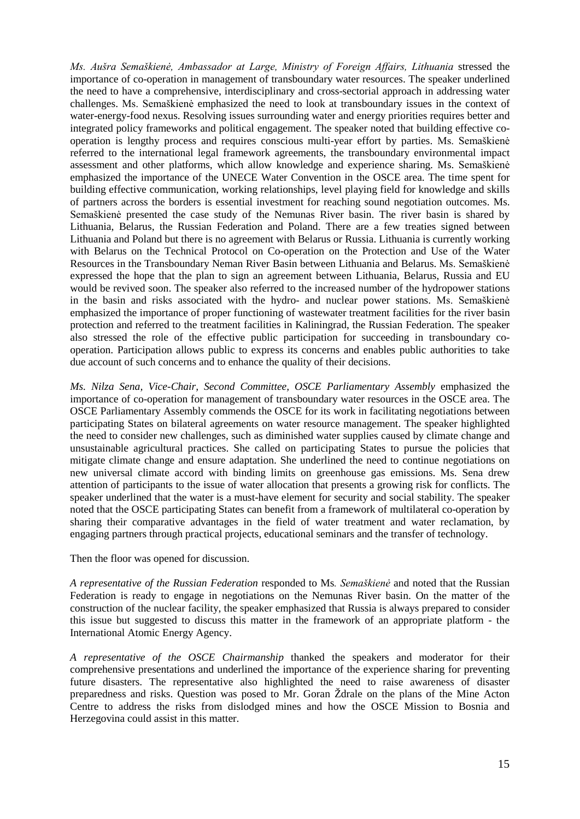*Ms. Aušra Semaškienė, Ambassador at Large, Ministry of Foreign Affairs, Lithuania* stressed the importance of co-operation in management of transboundary water resources. The speaker underlined the need to have a comprehensive, interdisciplinary and cross-sectorial approach in addressing water challenges. Ms. Semaškienė emphasized the need to look at transboundary issues in the context of water-energy-food nexus. Resolving issues surrounding water and energy priorities requires better and integrated policy frameworks and political engagement. The speaker noted that building effective cooperation is lengthy process and requires conscious multi-year effort by parties. Ms. Semaškienė referred to the international legal framework agreements, the transboundary environmental impact assessment and other platforms, which allow knowledge and experience sharing. Ms. Semaškienė emphasized the importance of the UNECE Water Convention in the OSCE area. The time spent for building effective communication, working relationships, level playing field for knowledge and skills of partners across the borders is essential investment for reaching sound negotiation outcomes. Ms. Semaškienė presented the case study of the Nemunas River basin. The river basin is shared by Lithuania, Belarus, the Russian Federation and Poland. There are a few treaties signed between Lithuania and Poland but there is no agreement with Belarus or Russia. Lithuania is currently working with Belarus on the Technical Protocol on Co-operation on the Protection and Use of the Water Resources in the Transboundary Neman River Basin between Lithuania and Belarus. Ms. Semaškienė expressed the hope that the plan to sign an agreement between Lithuania, Belarus, Russia and EU would be revived soon. The speaker also referred to the increased number of the hydropower stations in the basin and risks associated with the hydro- and nuclear power stations. Ms. Semaškienė emphasized the importance of proper functioning of wastewater treatment facilities for the river basin protection and referred to the treatment facilities in Kaliningrad, the Russian Federation. The speaker also stressed the role of the effective public participation for succeeding in transboundary cooperation. Participation allows public to express its concerns and enables public authorities to take due account of such concerns and to enhance the quality of their decisions.

*Ms. Nilza Sena, Vice-Chair, Second Committee, OSCE Parliamentary Assembly* emphasized the importance of co-operation for management of transboundary water resources in the OSCE area. The OSCE Parliamentary Assembly commends the OSCE for its work in facilitating negotiations between participating States on bilateral agreements on water resource management. The speaker highlighted the need to consider new challenges, such as diminished water supplies caused by climate change and unsustainable agricultural practices. She called on participating States to pursue the policies that mitigate climate change and ensure adaptation. She underlined the need to continue negotiations on new universal climate accord with binding limits on greenhouse gas emissions. Ms. Sena drew attention of participants to the issue of water allocation that presents a growing risk for conflicts. The speaker underlined that the water is a must-have element for security and social stability. The speaker noted that the OSCE participating States can benefit from a framework of multilateral co-operation by sharing their comparative advantages in the field of water treatment and water reclamation, by engaging partners through practical projects, educational seminars and the transfer of technology.

Then the floor was opened for discussion.

*A representative of the Russian Federation* responded to Ms*. Semaškienė* and noted that the Russian Federation is ready to engage in negotiations on the Nemunas River basin. On the matter of the construction of the nuclear facility, the speaker emphasized that Russia is always prepared to consider this issue but suggested to discuss this matter in the framework of an appropriate platform - the International Atomic Energy Agency.

*A representative of the OSCE Chairmanship* thanked the speakers and moderator for their comprehensive presentations and underlined the importance of the experience sharing for preventing future disasters. The representative also highlighted the need to raise awareness of disaster preparedness and risks. Question was posed to Mr. Goran Ždrale on the plans of the Mine Acton Centre to address the risks from dislodged mines and how the OSCE Mission to Bosnia and Herzegovina could assist in this matter.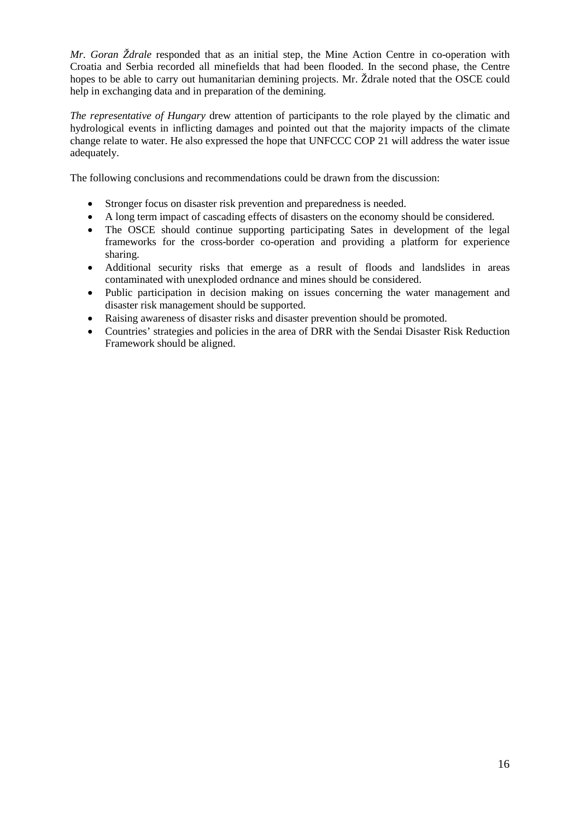*Mr. Goran Ždrale* responded that as an initial step, the Mine Action Centre in co-operation with Croatia and Serbia recorded all minefields that had been flooded. In the second phase, the Centre hopes to be able to carry out humanitarian demining projects. Mr. Ždrale noted that the OSCE could help in exchanging data and in preparation of the demining.

*The representative of Hungary* drew attention of participants to the role played by the climatic and hydrological events in inflicting damages and pointed out that the majority impacts of the climate change relate to water. He also expressed the hope that UNFCCC COP 21 will address the water issue adequately.

The following conclusions and recommendations could be drawn from the discussion:

- Stronger focus on disaster risk prevention and preparedness is needed.
- A long term impact of cascading effects of disasters on the economy should be considered.
- The OSCE should continue supporting participating Sates in development of the legal frameworks for the cross-border co-operation and providing a platform for experience sharing.
- Additional security risks that emerge as a result of floods and landslides in areas contaminated with unexploded ordnance and mines should be considered.
- Public participation in decision making on issues concerning the water management and disaster risk management should be supported.
- Raising awareness of disaster risks and disaster prevention should be promoted.
- Countries' strategies and policies in the area of DRR with the Sendai Disaster Risk Reduction Framework should be aligned.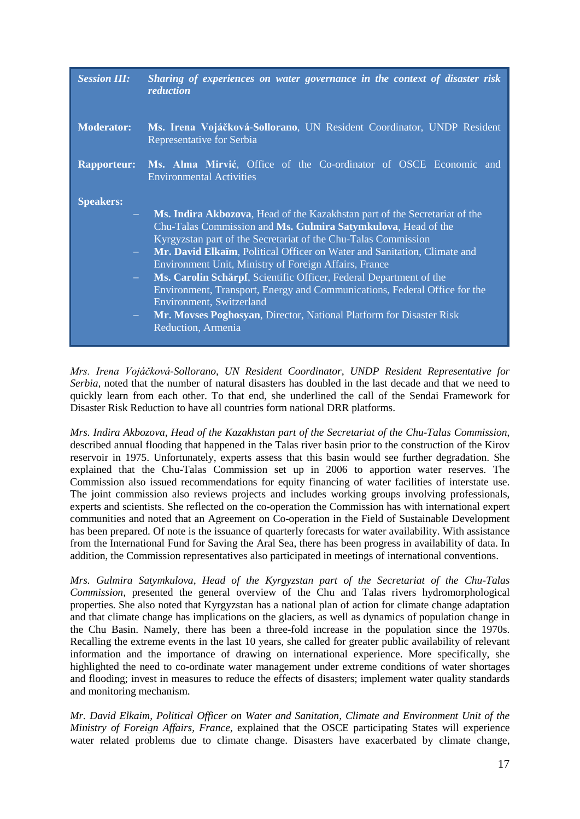| <b>Session III:</b> | Sharing of experiences on water governance in the context of disaster risk<br>reduction                                                                                                                                                                                                                                                                                                                                                                                                                                                                                                                                        |
|---------------------|--------------------------------------------------------------------------------------------------------------------------------------------------------------------------------------------------------------------------------------------------------------------------------------------------------------------------------------------------------------------------------------------------------------------------------------------------------------------------------------------------------------------------------------------------------------------------------------------------------------------------------|
| <b>Moderator:</b>   | Ms. Irena Vojáčková-Sollorano, UN Resident Coordinator, UNDP Resident<br>Representative for Serbia                                                                                                                                                                                                                                                                                                                                                                                                                                                                                                                             |
| <b>Rapporteur:</b>  | Ms. Alma Mirvić, Office of the Co-ordinator of OSCE Economic and<br><b>Environmental Activities</b>                                                                                                                                                                                                                                                                                                                                                                                                                                                                                                                            |
| <b>Speakers:</b>    |                                                                                                                                                                                                                                                                                                                                                                                                                                                                                                                                                                                                                                |
| $\frac{1}{2}$ .     | Ms. Indira Akbozova, Head of the Kazakhstan part of the Secretariat of the<br>Chu-Talas Commission and Ms. Gulmira Satymkulova, Head of the<br>Kyrgyzstan part of the Secretariat of the Chu-Talas Commission<br>Mr. David Elkaïm, Political Officer on Water and Sanitation, Climate and<br>Environment Unit, Ministry of Foreign Affairs, France<br>Ms. Carolin Schärpf, Scientific Officer, Federal Department of the<br>Environment, Transport, Energy and Communications, Federal Office for the<br>Environment, Switzerland<br>Mr. Movses Poghosyan, Director, National Platform for Disaster Risk<br>Reduction, Armenia |

*Mrs. Irena Vojáčková-Sollorano, UN Resident Coordinator, UNDP Resident Representative for Serbia,* noted that the number of natural disasters has doubled in the last decade and that we need to quickly learn from each other. To that end, she underlined the call of the Sendai Framework for Disaster Risk Reduction to have all countries form national DRR platforms.

*Mrs. Indira Akbozova, Head of the Kazakhstan part of the Secretariat of the Chu-Talas Commission*, described annual flooding that happened in the Talas river basin prior to the construction of the Kirov reservoir in 1975. Unfortunately, experts assess that this basin would see further degradation. She explained that the Chu-Talas Commission set up in 2006 to apportion water reserves. The Commission also issued recommendations for equity financing of water facilities of interstate use. The joint commission also reviews projects and includes working groups involving professionals, experts and scientists. She reflected on the co-operation the Commission has with international expert communities and noted that an Agreement on Co-operation in the Field of Sustainable Development has been prepared. Of note is the issuance of quarterly forecasts for water availability. With assistance from the International Fund for Saving the Aral Sea, there has been progress in availability of data. In addition, the Commission representatives also participated in meetings of international conventions.

*Mrs. Gulmira Satymkulova, Head of the Kyrgyzstan part of the Secretariat of the Chu-Talas Commission,* presented the general overview of the Chu and Talas rivers hydromorphological properties. She also noted that Kyrgyzstan has a national plan of action for climate change adaptation and that climate change has implications on the glaciers, as well as dynamics of population change in the Chu Basin. Namely, there has been a three-fold increase in the population since the 1970s. Recalling the extreme events in the last 10 years, she called for greater public availability of relevant information and the importance of drawing on international experience. More specifically, she highlighted the need to co-ordinate water management under extreme conditions of water shortages and flooding; invest in measures to reduce the effects of disasters; implement water quality standards and monitoring mechanism.

*Mr. David Elkaim, Political Officer on Water and Sanitation, Climate and Environment Unit of the Ministry of Foreign Affairs, France*, explained that the OSCE participating States will experience water related problems due to climate change. Disasters have exacerbated by climate change,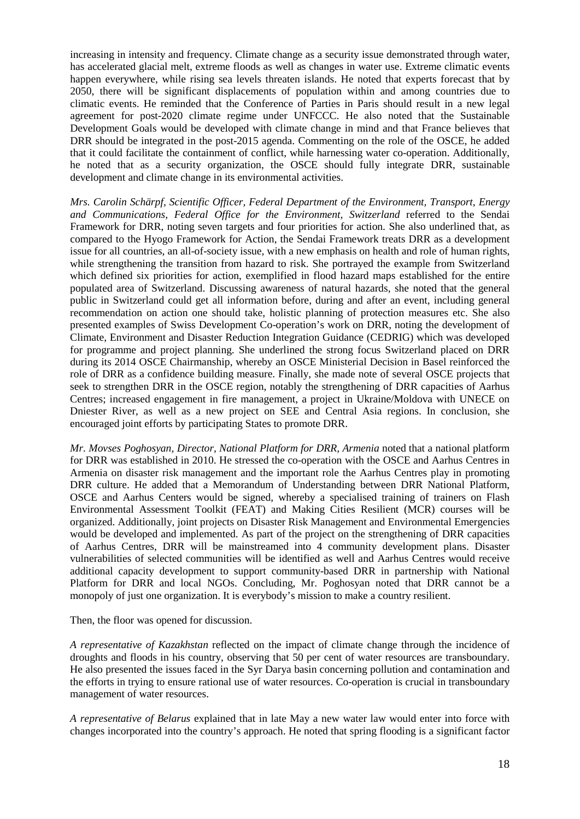increasing in intensity and frequency. Climate change as a security issue demonstrated through water, has accelerated glacial melt, extreme floods as well as changes in water use. Extreme climatic events happen everywhere, while rising sea levels threaten islands. He noted that experts forecast that by 2050, there will be significant displacements of population within and among countries due to climatic events. He reminded that the Conference of Parties in Paris should result in a new legal agreement for post-2020 climate regime under UNFCCC. He also noted that the Sustainable Development Goals would be developed with climate change in mind and that France believes that DRR should be integrated in the post-2015 agenda. Commenting on the role of the OSCE, he added that it could facilitate the containment of conflict, while harnessing water co-operation. Additionally, he noted that as a security organization, the OSCE should fully integrate DRR, sustainable development and climate change in its environmental activities.

*Mrs. Carolin Schärpf, Scientific Officer, Federal Department of the Environment, Transport, Energy and Communications, Federal Office for the Environment, Switzerland* referred to the Sendai Framework for DRR, noting seven targets and four priorities for action. She also underlined that, as compared to the Hyogo Framework for Action, the Sendai Framework treats DRR as a development issue for all countries, an all-of-society issue, with a new emphasis on health and role of human rights, while strengthening the transition from hazard to risk. She portrayed the example from Switzerland which defined six priorities for action, exemplified in flood hazard maps established for the entire populated area of Switzerland. Discussing awareness of natural hazards, she noted that the general public in Switzerland could get all information before, during and after an event, including general recommendation on action one should take, holistic planning of protection measures etc. She also presented examples of Swiss Development Co-operation's work on DRR, noting the development of Climate, Environment and Disaster Reduction Integration Guidance (CEDRIG) which was developed for programme and project planning. She underlined the strong focus Switzerland placed on DRR during its 2014 OSCE Chairmanship, whereby an OSCE Ministerial Decision in Basel reinforced the role of DRR as a confidence building measure. Finally, she made note of several OSCE projects that seek to strengthen DRR in the OSCE region, notably the strengthening of DRR capacities of Aarhus Centres; increased engagement in fire management, a project in Ukraine/Moldova with UNECE on Dniester River, as well as a new project on SEE and Central Asia regions. In conclusion, she encouraged joint efforts by participating States to promote DRR.

*Mr. Movses Poghosyan, Director, National Platform for DRR, Armenia* noted that a national platform for DRR was established in 2010. He stressed the co-operation with the OSCE and Aarhus Centres in Armenia on disaster risk management and the important role the Aarhus Centres play in promoting DRR culture. He added that a Memorandum of Understanding between DRR National Platform, OSCE and Aarhus Centers would be signed, whereby a specialised training of trainers on Flash Environmental Assessment Toolkit (FEAT) and Making Cities Resilient (MCR) courses will be organized. Additionally, joint projects on Disaster Risk Management and Environmental Emergencies would be developed and implemented. As part of the project on the strengthening of DRR capacities of Aarhus Centres, DRR will be mainstreamed into 4 community development plans. Disaster vulnerabilities of selected communities will be identified as well and Aarhus Centres would receive additional capacity development to support community-based DRR in partnership with National Platform for DRR and local NGOs. Concluding, Mr. Poghosyan noted that DRR cannot be a monopoly of just one organization. It is everybody's mission to make a country resilient.

Then, the floor was opened for discussion.

*A representative of Kazakhstan* reflected on the impact of climate change through the incidence of droughts and floods in his country, observing that 50 per cent of water resources are transboundary. He also presented the issues faced in the Syr Darya basin concerning pollution and contamination and the efforts in trying to ensure rational use of water resources. Co-operation is crucial in transboundary management of water resources.

*A representative of Belarus* explained that in late May a new water law would enter into force with changes incorporated into the country's approach. He noted that spring flooding is a significant factor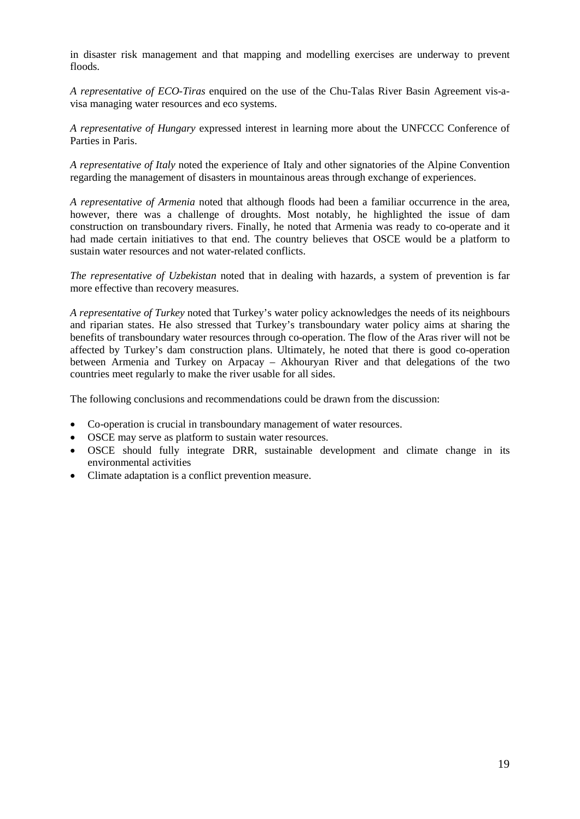in disaster risk management and that mapping and modelling exercises are underway to prevent floods.

*A representative of ECO-Tiras* enquired on the use of the Chu-Talas River Basin Agreement vis-avisa managing water resources and eco systems.

*A representative of Hungary* expressed interest in learning more about the UNFCCC Conference of Parties in Paris.

*A representative of Italy* noted the experience of Italy and other signatories of the Alpine Convention regarding the management of disasters in mountainous areas through exchange of experiences.

*A representative of Armenia* noted that although floods had been a familiar occurrence in the area, however, there was a challenge of droughts. Most notably, he highlighted the issue of dam construction on transboundary rivers. Finally, he noted that Armenia was ready to co-operate and it had made certain initiatives to that end. The country believes that OSCE would be a platform to sustain water resources and not water-related conflicts.

*The representative of Uzbekistan* noted that in dealing with hazards, a system of prevention is far more effective than recovery measures.

*A representative of Turkey* noted that Turkey's water policy acknowledges the needs of its neighbours and riparian states. He also stressed that Turkey's transboundary water policy aims at sharing the benefits of transboundary water resources through co-operation. The flow of the Aras river will not be affected by Turkey's dam construction plans. Ultimately, he noted that there is good co-operation between Armenia and Turkey on Arpacay – Akhouryan River and that delegations of the two countries meet regularly to make the river usable for all sides.

The following conclusions and recommendations could be drawn from the discussion:

- Co-operation is crucial in transboundary management of water resources.
- OSCE may serve as platform to sustain water resources.
- OSCE should fully integrate DRR, sustainable development and climate change in its environmental activities
- Climate adaptation is a conflict prevention measure.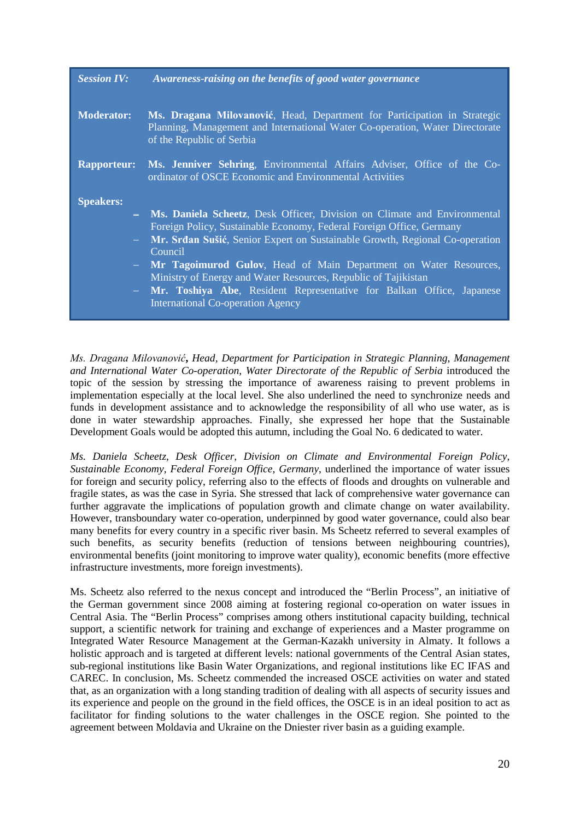| <b>Session IV:</b> | Awareness-raising on the benefits of good water governance                                                                                                                            |
|--------------------|---------------------------------------------------------------------------------------------------------------------------------------------------------------------------------------|
| <b>Moderator:</b>  | Ms. Dragana Milovanović, Head, Department for Participation in Strategic<br>Planning, Management and International Water Co-operation, Water Directorate<br>of the Republic of Serbia |
| <b>Rapporteur:</b> | Ms. Jenniver Sehring, Environmental Affairs Adviser, Office of the Co-<br>ordinator of OSCE Economic and Environmental Activities                                                     |
| <b>Speakers:</b>   |                                                                                                                                                                                       |
|                    | - Ms. Daniela Scheetz, Desk Officer, Division on Climate and Environmental                                                                                                            |
|                    | Foreign Policy, Sustainable Economy, Federal Foreign Office, Germany                                                                                                                  |
|                    | - Mr. Srđan Sušić, Senior Expert on Sustainable Growth, Regional Co-operation<br>Council                                                                                              |
|                    | - Mr Tagoimurod Gulov, Head of Main Department on Water Resources,                                                                                                                    |
|                    | Ministry of Energy and Water Resources, Republic of Tajikistan                                                                                                                        |
|                    | - Mr. Toshiya Abe, Resident Representative for Balkan Office, Japanese                                                                                                                |
|                    | <b>International Co-operation Agency</b>                                                                                                                                              |

*Ms. Dragana Milovanović***,** *Head, Department for Participation in Strategic Planning, Management and International Water Co-operation, Water Directorate of the Republic of Serbia* introduced the topic of the session by stressing the importance of awareness raising to prevent problems in implementation especially at the local level. She also underlined the need to synchronize needs and funds in development assistance and to acknowledge the responsibility of all who use water, as is done in water stewardship approaches. Finally, she expressed her hope that the Sustainable Development Goals would be adopted this autumn, including the Goal No. 6 dedicated to water.

*Ms. Daniela Scheetz*, *Desk Officer, Division on Climate and Environmental Foreign Policy, Sustainable Economy, Federal Foreign Office, Germany*, underlined the importance of water issues for foreign and security policy, referring also to the effects of floods and droughts on vulnerable and fragile states, as was the case in Syria. She stressed that lack of comprehensive water governance can further aggravate the implications of population growth and climate change on water availability. However, transboundary water co-operation, underpinned by good water governance, could also bear many benefits for every country in a specific river basin. Ms Scheetz referred to several examples of such benefits, as security benefits (reduction of tensions between neighbouring countries), environmental benefits (joint monitoring to improve water quality), economic benefits (more effective infrastructure investments, more foreign investments).

Ms. Scheetz also referred to the nexus concept and introduced the "Berlin Process", an initiative of the German government since 2008 aiming at fostering regional co-operation on water issues in Central Asia. The "Berlin Process" comprises among others institutional capacity building, technical support, a scientific network for training and exchange of experiences and a Master programme on Integrated Water Resource Management at the German-Kazakh university in Almaty. It follows a holistic approach and is targeted at different levels: national governments of the Central Asian states, sub-regional institutions like Basin Water Organizations, and regional institutions like EC IFAS and CAREC. In conclusion, Ms. Scheetz commended the increased OSCE activities on water and stated that, as an organization with a long standing tradition of dealing with all aspects of security issues and its experience and people on the ground in the field offices, the OSCE is in an ideal position to act as facilitator for finding solutions to the water challenges in the OSCE region. She pointed to the agreement between Moldavia and Ukraine on the Dniester river basin as a guiding example.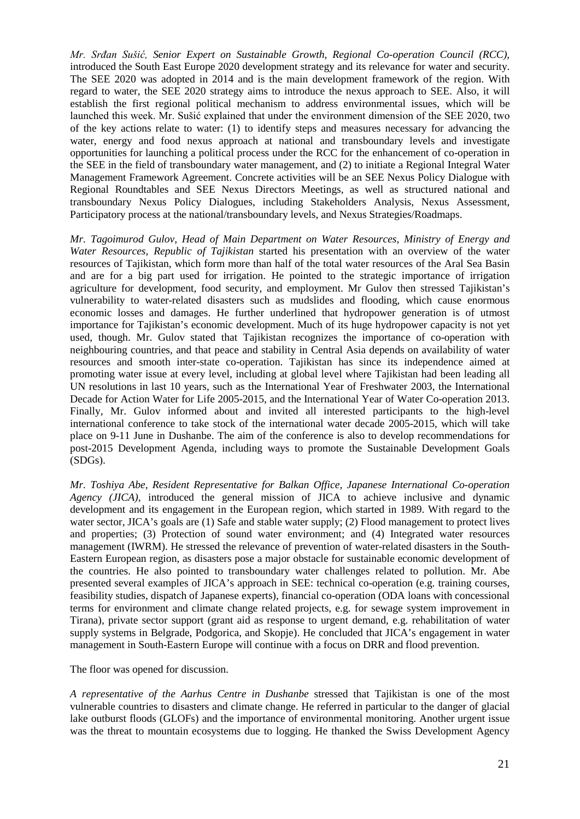*Mr. Srđan Sušić, Senior Expert on Sustainable Growth, Regional Co-operation Council (RCC),* introduced the South East Europe 2020 development strategy and its relevance for water and security. The SEE 2020 was adopted in 2014 and is the main development framework of the region. With regard to water, the SEE 2020 strategy aims to introduce the nexus approach to SEE. Also, it will establish the first regional political mechanism to address environmental issues, which will be launched this week. Mr. Sušić explained that under the environment dimension of the SEE 2020, two of the key actions relate to water: (1) to identify steps and measures necessary for advancing the water, energy and food nexus approach at national and transboundary levels and investigate opportunities for launching a political process under the RCC for the enhancement of co-operation in the SEE in the field of transboundary water management, and (2) to initiate a Regional Integral Water Management Framework Agreement. Concrete activities will be an SEE Nexus Policy Dialogue with Regional Roundtables and SEE Nexus Directors Meetings, as well as structured national and transboundary Nexus Policy Dialogues, including Stakeholders Analysis, Nexus Assessment, Participatory process at the national/transboundary levels, and Nexus Strategies/Roadmaps.

*Mr. Tagoimurod Gulov, Head of Main Department on Water Resources, Ministry of Energy and Water Resources, Republic of Tajikistan* started his presentation with an overview of the water resources of Tajikistan, which form more than half of the total water resources of the Aral Sea Basin and are for a big part used for irrigation. He pointed to the strategic importance of irrigation agriculture for development, food security, and employment. Mr Gulov then stressed Tajikistan's vulnerability to water-related disasters such as mudslides and flooding, which cause enormous economic losses and damages. He further underlined that hydropower generation is of utmost importance for Tajikistan's economic development. Much of its huge hydropower capacity is not yet used, though. Mr. Gulov stated that Tajikistan recognizes the importance of co-operation with neighbouring countries, and that peace and stability in Central Asia depends on availability of water resources and smooth inter-state co-operation. Tajikistan has since its independence aimed at promoting water issue at every level, including at global level where Tajikistan had been leading all UN resolutions in last 10 years, such as the International Year of Freshwater 2003, the International Decade for Action Water for Life 2005-2015, and the International Year of Water Co-operation 2013. Finally, Mr. Gulov informed about and invited all interested participants to the high-level international conference to take stock of the international water decade 2005-2015, which will take place on 9-11 June in Dushanbe. The aim of the conference is also to develop recommendations for post-2015 Development Agenda, including ways to promote the Sustainable Development Goals (SDGs).

*Mr. Toshiya Abe, Resident Representative for Balkan Office, Japanese International Co-operation Agency (JICA)*, introduced the general mission of JICA to achieve inclusive and dynamic development and its engagement in the European region, which started in 1989. With regard to the water sector, JICA's goals are (1) Safe and stable water supply; (2) Flood management to protect lives and properties; (3) Protection of sound water environment; and (4) Integrated water resources management (IWRM). He stressed the relevance of prevention of water-related disasters in the South-Eastern European region, as disasters pose a major obstacle for sustainable economic development of the countries. He also pointed to transboundary water challenges related to pollution. Mr. Abe presented several examples of JICA's approach in SEE: technical co-operation (e.g. training courses, feasibility studies, dispatch of Japanese experts), financial co-operation (ODA loans with concessional terms for environment and climate change related projects, e.g. for sewage system improvement in Tirana), private sector support (grant aid as response to urgent demand, e.g. rehabilitation of water supply systems in Belgrade, Podgorica, and Skopje). He concluded that JICA's engagement in water management in South-Eastern Europe will continue with a focus on DRR and flood prevention.

The floor was opened for discussion.

*A representative of the Aarhus Centre in Dushanbe* stressed that Tajikistan is one of the most vulnerable countries to disasters and climate change. He referred in particular to the danger of glacial lake outburst floods (GLOFs) and the importance of environmental monitoring. Another urgent issue was the threat to mountain ecosystems due to logging. He thanked the Swiss Development Agency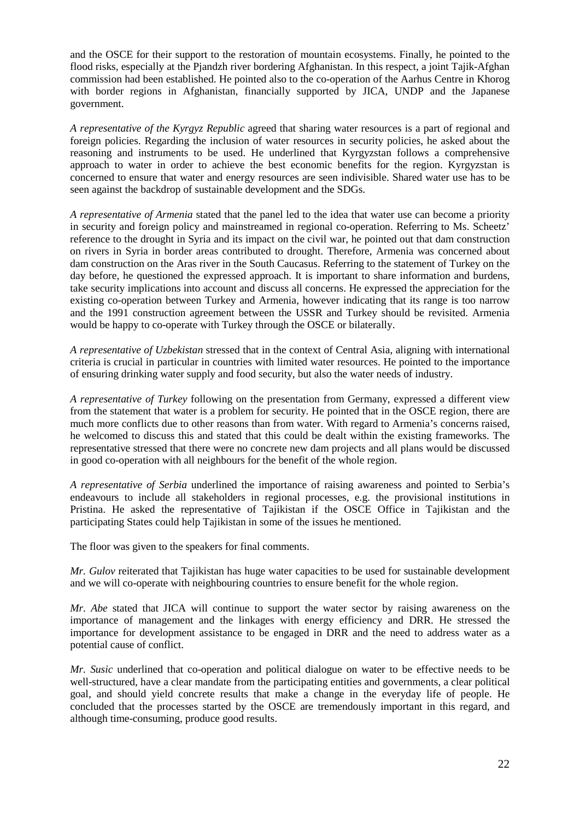and the OSCE for their support to the restoration of mountain ecosystems. Finally, he pointed to the flood risks, especially at the Pjandzh river bordering Afghanistan. In this respect, a joint Tajik-Afghan commission had been established. He pointed also to the co-operation of the Aarhus Centre in Khorog with border regions in Afghanistan, financially supported by JICA, UNDP and the Japanese government.

*A representative of the Kyrgyz Republic* agreed that sharing water resources is a part of regional and foreign policies. Regarding the inclusion of water resources in security policies, he asked about the reasoning and instruments to be used. He underlined that Kyrgyzstan follows a comprehensive approach to water in order to achieve the best economic benefits for the region. Kyrgyzstan is concerned to ensure that water and energy resources are seen indivisible. Shared water use has to be seen against the backdrop of sustainable development and the SDGs.

*A representative of Armenia* stated that the panel led to the idea that water use can become a priority in security and foreign policy and mainstreamed in regional co-operation. Referring to Ms. Scheetz' reference to the drought in Syria and its impact on the civil war, he pointed out that dam construction on rivers in Syria in border areas contributed to drought. Therefore, Armenia was concerned about dam construction on the Aras river in the South Caucasus. Referring to the statement of Turkey on the day before, he questioned the expressed approach. It is important to share information and burdens, take security implications into account and discuss all concerns. He expressed the appreciation for the existing co-operation between Turkey and Armenia, however indicating that its range is too narrow and the 1991 construction agreement between the USSR and Turkey should be revisited. Armenia would be happy to co-operate with Turkey through the OSCE or bilaterally.

*A representative of Uzbekistan* stressed that in the context of Central Asia, aligning with international criteria is crucial in particular in countries with limited water resources. He pointed to the importance of ensuring drinking water supply and food security, but also the water needs of industry.

*A representative of Turkey* following on the presentation from Germany, expressed a different view from the statement that water is a problem for security. He pointed that in the OSCE region, there are much more conflicts due to other reasons than from water. With regard to Armenia's concerns raised, he welcomed to discuss this and stated that this could be dealt within the existing frameworks. The representative stressed that there were no concrete new dam projects and all plans would be discussed in good co-operation with all neighbours for the benefit of the whole region.

*A representative of Serbia* underlined the importance of raising awareness and pointed to Serbia's endeavours to include all stakeholders in regional processes, e.g. the provisional institutions in Pristina. He asked the representative of Tajikistan if the OSCE Office in Tajikistan and the participating States could help Tajikistan in some of the issues he mentioned.

The floor was given to the speakers for final comments.

*Mr. Gulov* reiterated that Tajikistan has huge water capacities to be used for sustainable development and we will co-operate with neighbouring countries to ensure benefit for the whole region.

*Mr. Abe* stated that JICA will continue to support the water sector by raising awareness on the importance of management and the linkages with energy efficiency and DRR. He stressed the importance for development assistance to be engaged in DRR and the need to address water as a potential cause of conflict.

*Mr. Susic* underlined that co-operation and political dialogue on water to be effective needs to be well-structured, have a clear mandate from the participating entities and governments, a clear political goal, and should yield concrete results that make a change in the everyday life of people. He concluded that the processes started by the OSCE are tremendously important in this regard, and although time-consuming, produce good results.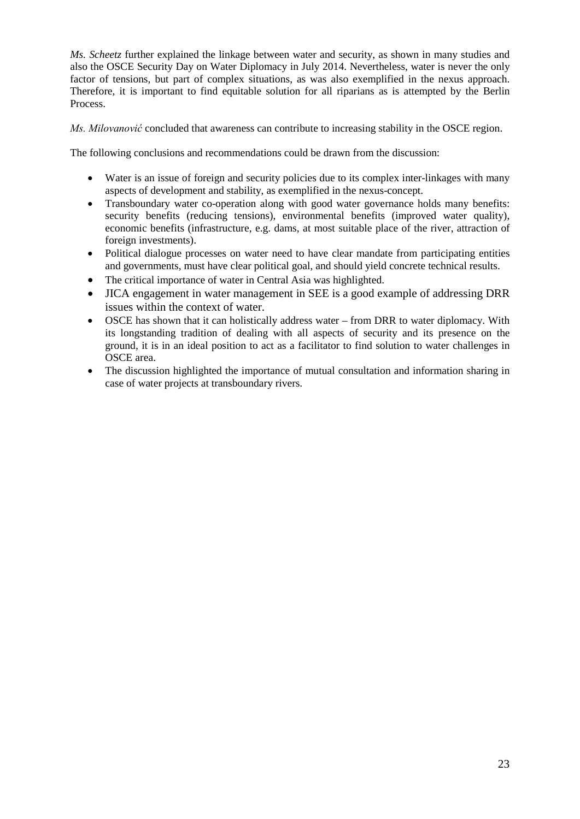*Ms. Scheetz* further explained the linkage between water and security, as shown in many studies and also the OSCE Security Day on Water Diplomacy in July 2014. Nevertheless, water is never the only factor of tensions, but part of complex situations, as was also exemplified in the nexus approach. Therefore, it is important to find equitable solution for all riparians as is attempted by the Berlin Process.

*Ms. Milovanović* concluded that awareness can contribute to increasing stability in the OSCE region.

The following conclusions and recommendations could be drawn from the discussion:

- Water is an issue of foreign and security policies due to its complex inter-linkages with many aspects of development and stability, as exemplified in the nexus-concept.
- Transboundary water co-operation along with good water governance holds many benefits: security benefits (reducing tensions), environmental benefits (improved water quality), economic benefits (infrastructure, e.g. dams, at most suitable place of the river, attraction of foreign investments).
- Political dialogue processes on water need to have clear mandate from participating entities and governments, must have clear political goal, and should yield concrete technical results.
- The critical importance of water in Central Asia was highlighted.
- JICA engagement in water management in SEE is a good example of addressing DRR issues within the context of water.
- OSCE has shown that it can holistically address water from DRR to water diplomacy. With its longstanding tradition of dealing with all aspects of security and its presence on the ground, it is in an ideal position to act as a facilitator to find solution to water challenges in OSCE area.
- The discussion highlighted the importance of mutual consultation and information sharing in case of water projects at transboundary rivers.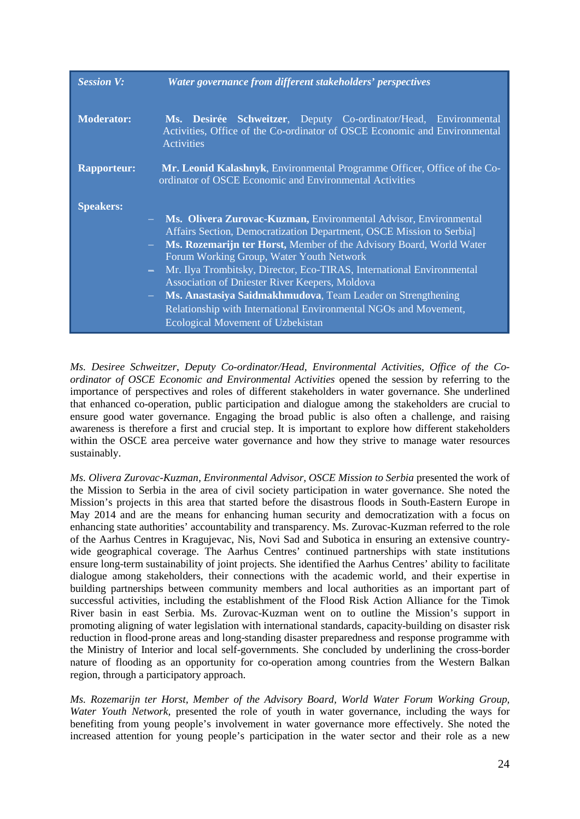| <b>Session V:</b>  | Water governance from different stakeholders' perspectives                                                                                                                                                                                                                                                                                                                                                                                                                                                                                                                                                |
|--------------------|-----------------------------------------------------------------------------------------------------------------------------------------------------------------------------------------------------------------------------------------------------------------------------------------------------------------------------------------------------------------------------------------------------------------------------------------------------------------------------------------------------------------------------------------------------------------------------------------------------------|
| <b>Moderator:</b>  | Ms. Desirée Schweitzer, Deputy Co-ordinator/Head, Environmental<br>Activities, Office of the Co-ordinator of OSCE Economic and Environmental<br><b>Activities</b>                                                                                                                                                                                                                                                                                                                                                                                                                                         |
| <b>Rapporteur:</b> | Mr. Leonid Kalashnyk, Environmental Programme Officer, Office of the Co-<br>ordinator of OSCE Economic and Environmental Activities                                                                                                                                                                                                                                                                                                                                                                                                                                                                       |
| <b>Speakers:</b>   | - Ms. Olivera Zurovac-Kuzman, Environmental Advisor, Environmental<br>Affairs Section, Democratization Department, OSCE Mission to Serbia]<br>Ms. Rozemarijn ter Horst, Member of the Advisory Board, World Water<br>Forum Working Group, Water Youth Network<br>Mr. Ilya Trombitsky, Director, Eco-TIRAS, International Environmental<br>$\frac{1}{2}$<br>Association of Dniester River Keepers, Moldova<br>Ms. Anastasiya Saidmakhmudova, Team Leader on Strengthening<br>$\frac{1}{2}$<br>Relationship with International Environmental NGOs and Movement,<br><b>Ecological Movement of Uzbekistan</b> |

*Ms. Desiree Schweitzer*, *Deputy Co-ordinator/Head, Environmental Activities, Office of the Coordinator of OSCE Economic and Environmental Activities* opened the session by referring to the importance of perspectives and roles of different stakeholders in water governance. She underlined that enhanced co-operation, public participation and dialogue among the stakeholders are crucial to ensure good water governance. Engaging the broad public is also often a challenge, and raising awareness is therefore a first and crucial step. It is important to explore how different stakeholders within the OSCE area perceive water governance and how they strive to manage water resources sustainably.

*Ms. Olivera Zurovac-Kuzman, Environmental Advisor, OSCE Mission to Serbia* presented the work of the Mission to Serbia in the area of civil society participation in water governance. She noted the Mission's projects in this area that started before the disastrous floods in South-Eastern Europe in May 2014 and are the means for enhancing human security and democratization with a focus on enhancing state authorities' accountability and transparency. Ms. Zurovac-Kuzman referred to the role of the Aarhus Centres in Kragujevac, Nis, Novi Sad and Subotica in ensuring an extensive countrywide geographical coverage. The Aarhus Centres' continued partnerships with state institutions ensure long-term sustainability of joint projects. She identified the Aarhus Centres' ability to facilitate dialogue among stakeholders, their connections with the academic world, and their expertise in building partnerships between community members and local authorities as an important part of successful activities, including the establishment of the Flood Risk Action Alliance for the Timok River basin in east Serbia. Ms. Zurovac-Kuzman went on to outline the Mission's support in promoting aligning of water legislation with international standards, capacity-building on disaster risk reduction in flood-prone areas and long-standing disaster preparedness and response programme with the Ministry of Interior and local self-governments. She concluded by underlining the cross-border nature of flooding as an opportunity for co-operation among countries from the Western Balkan region, through a participatory approach.

*Ms. Rozemarijn ter Horst, Member of the Advisory Board, World Water Forum Working Group, Water Youth Network,* presented the role of youth in water governance, including the ways for benefiting from young people's involvement in water governance more effectively. She noted the increased attention for young people's participation in the water sector and their role as a new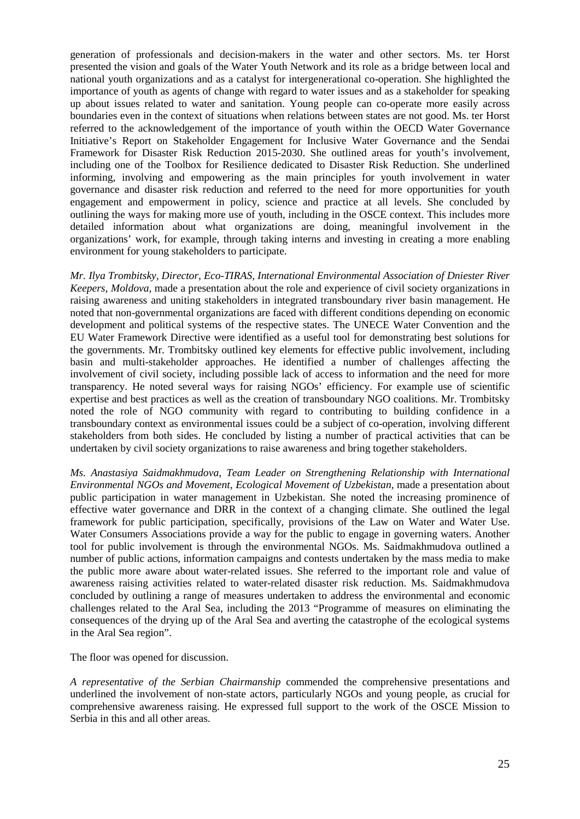generation of professionals and decision-makers in the water and other sectors. Ms. ter Horst presented the vision and goals of the Water Youth Network and its role as a bridge between local and national youth organizations and as a catalyst for intergenerational co-operation. She highlighted the importance of youth as agents of change with regard to water issues and as a stakeholder for speaking up about issues related to water and sanitation. Young people can co-operate more easily across boundaries even in the context of situations when relations between states are not good. Ms. ter Horst referred to the acknowledgement of the importance of youth within the OECD Water Governance Initiative's Report on Stakeholder Engagement for Inclusive Water Governance and the Sendai Framework for Disaster Risk Reduction 2015-2030. She outlined areas for youth's involvement, including one of the Toolbox for Resilience dedicated to Disaster Risk Reduction. She underlined informing, involving and empowering as the main principles for youth involvement in water governance and disaster risk reduction and referred to the need for more opportunities for youth engagement and empowerment in policy, science and practice at all levels. She concluded by outlining the ways for making more use of youth, including in the OSCE context. This includes more detailed information about what organizations are doing, meaningful involvement in the organizations' work, for example, through taking interns and investing in creating a more enabling environment for young stakeholders to participate.

*Mr. Ilya Trombitsky, Director, Eco-TIRAS, International Environmental Association of Dniester River Keepers, Moldova,* made a presentation about the role and experience of civil society organizations in raising awareness and uniting stakeholders in integrated transboundary river basin management. He noted that non-governmental organizations are faced with different conditions depending on economic development and political systems of the respective states. The UNECE Water Convention and the EU Water Framework Directive were identified as a useful tool for demonstrating best solutions for the governments. Mr. Trombitsky outlined key elements for effective public involvement, including basin and multi-stakeholder approaches. He identified a number of challenges affecting the involvement of civil society, including possible lack of access to information and the need for more transparency. He noted several ways for raising NGOs' efficiency. For example use of scientific expertise and best practices as well as the creation of transboundary NGO coalitions. Mr. Trombitsky noted the role of NGO community with regard to contributing to building confidence in a transboundary context as environmental issues could be a subject of co-operation, involving different stakeholders from both sides. He concluded by listing a number of practical activities that can be undertaken by civil society organizations to raise awareness and bring together stakeholders.

*Ms. Anastasiya Saidmakhmudova*, *Team Leader on Strengthening Relationship with International Environmental NGOs and Movement, Ecological Movement of Uzbekistan,* made a presentation about public participation in water management in Uzbekistan. She noted the increasing prominence of effective water governance and DRR in the context of a changing climate. She outlined the legal framework for public participation, specifically, provisions of the Law on Water and Water Use. Water Consumers Associations provide a way for the public to engage in governing waters. Another tool for public involvement is through the environmental NGOs. Ms. Saidmakhmudova outlined a number of public actions, information campaigns and contests undertaken by the mass media to make the public more aware about water-related issues. She referred to the important role and value of awareness raising activities related to water-related disaster risk reduction. Ms. Saidmakhmudova concluded by outlining a range of measures undertaken to address the environmental and economic challenges related to the Aral Sea, including the 2013 "Programme of measures on eliminating the consequences of the drying up of the Aral Sea and averting the catastrophe of the ecological systems in the Aral Sea region".

The floor was opened for discussion.

*A representative of the Serbian Chairmanship* commended the comprehensive presentations and underlined the involvement of non-state actors, particularly NGOs and young people, as crucial for comprehensive awareness raising. He expressed full support to the work of the OSCE Mission to Serbia in this and all other areas.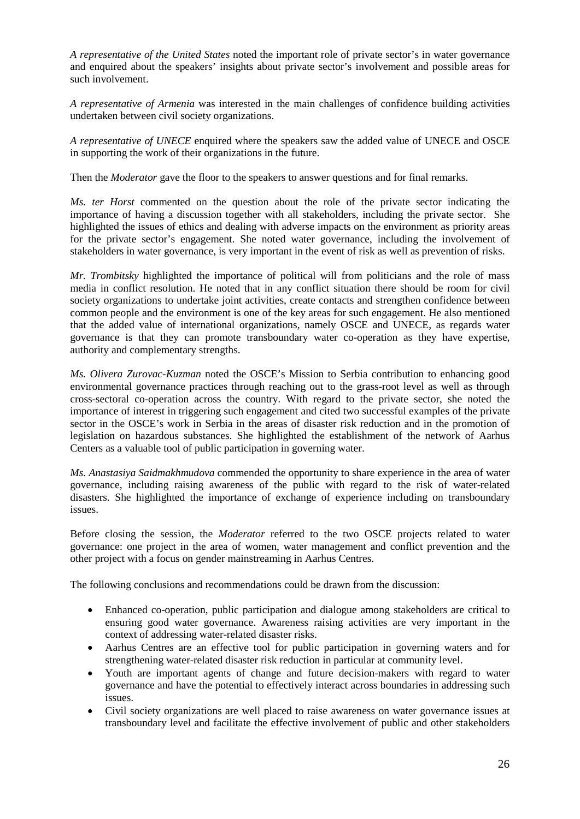*A representative of the United States* noted the important role of private sector's in water governance and enquired about the speakers' insights about private sector's involvement and possible areas for such involvement.

*A representative of Armenia* was interested in the main challenges of confidence building activities undertaken between civil society organizations.

*A representative of UNECE* enquired where the speakers saw the added value of UNECE and OSCE in supporting the work of their organizations in the future.

Then the *Moderator* gave the floor to the speakers to answer questions and for final remarks.

*Ms. ter Horst* commented on the question about the role of the private sector indicating the importance of having a discussion together with all stakeholders, including the private sector. She highlighted the issues of ethics and dealing with adverse impacts on the environment as priority areas for the private sector's engagement. She noted water governance, including the involvement of stakeholders in water governance, is very important in the event of risk as well as prevention of risks.

*Mr. Trombitsky* highlighted the importance of political will from politicians and the role of mass media in conflict resolution. He noted that in any conflict situation there should be room for civil society organizations to undertake joint activities, create contacts and strengthen confidence between common people and the environment is one of the key areas for such engagement. He also mentioned that the added value of international organizations, namely OSCE and UNECE, as regards water governance is that they can promote transboundary water co-operation as they have expertise, authority and complementary strengths.

*Ms. Olivera Zurovac-Kuzman* noted the OSCE's Mission to Serbia contribution to enhancing good environmental governance practices through reaching out to the grass-root level as well as through cross-sectoral co-operation across the country. With regard to the private sector, she noted the importance of interest in triggering such engagement and cited two successful examples of the private sector in the OSCE's work in Serbia in the areas of disaster risk reduction and in the promotion of legislation on hazardous substances. She highlighted the establishment of the network of Aarhus Centers as a valuable tool of public participation in governing water.

*Ms. Anastasiya Saidmakhmudova* commended the opportunity to share experience in the area of water governance, including raising awareness of the public with regard to the risk of water-related disasters. She highlighted the importance of exchange of experience including on transboundary issues.

Before closing the session, the *Moderator* referred to the two OSCE projects related to water governance: one project in the area of women, water management and conflict prevention and the other project with a focus on gender mainstreaming in Aarhus Centres.

The following conclusions and recommendations could be drawn from the discussion:

- Enhanced co-operation, public participation and dialogue among stakeholders are critical to ensuring good water governance. Awareness raising activities are very important in the context of addressing water-related disaster risks.
- Aarhus Centres are an effective tool for public participation in governing waters and for strengthening water-related disaster risk reduction in particular at community level.
- Youth are important agents of change and future decision-makers with regard to water governance and have the potential to effectively interact across boundaries in addressing such issues.
- Civil society organizations are well placed to raise awareness on water governance issues at transboundary level and facilitate the effective involvement of public and other stakeholders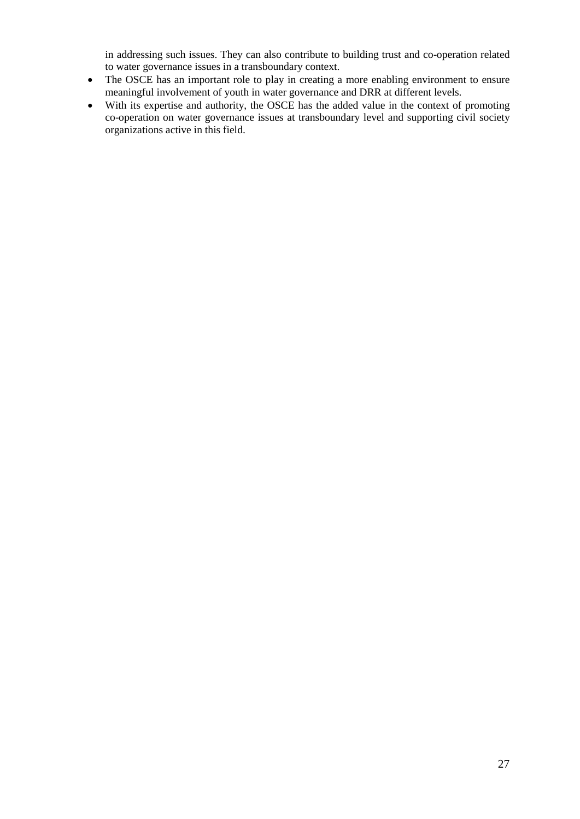in addressing such issues. They can also contribute to building trust and co-operation related to water governance issues in a transboundary context.

- The OSCE has an important role to play in creating a more enabling environment to ensure meaningful involvement of youth in water governance and DRR at different levels.
- With its expertise and authority, the OSCE has the added value in the context of promoting co-operation on water governance issues at transboundary level and supporting civil society organizations active in this field.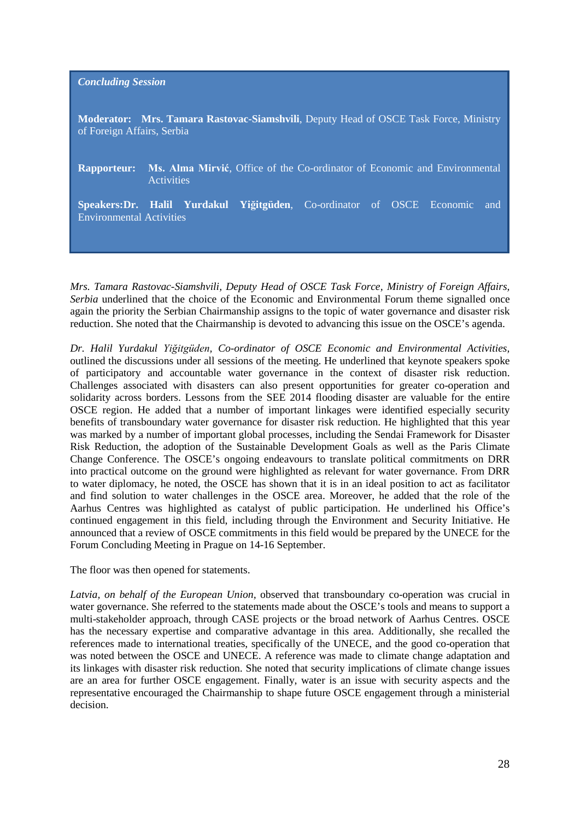*Concluding Session*

**Moderator: Mrs. Tamara Rastovac-Siamshvili**, Deputy Head of OSCE Task Force, Ministry of Foreign Affairs, Serbia

**Rapporteur: Ms. Alma Mirvić**, Office of the Co-ordinator of Economic and Environmental **Activities** 

**Speakers:Dr. Halil Yurdakul Yiğitgüden**, Co-ordinator of OSCE Economic and Environmental Activities

*Mrs. Tamara Rastovac-Siamshvili, Deputy Head of OSCE Task Force, Ministry of Foreign Affairs, Serbia* underlined that the choice of the Economic and Environmental Forum theme signalled once again the priority the Serbian Chairmanship assigns to the topic of water governance and disaster risk reduction. She noted that the Chairmanship is devoted to advancing this issue on the OSCE's agenda.

*Dr. Halil Yurdakul Yiğitgüden, Co-ordinator of OSCE Economic and Environmental Activities,*  outlined the discussions under all sessions of the meeting. He underlined that keynote speakers spoke of participatory and accountable water governance in the context of disaster risk reduction. Challenges associated with disasters can also present opportunities for greater co-operation and solidarity across borders. Lessons from the SEE 2014 flooding disaster are valuable for the entire OSCE region. He added that a number of important linkages were identified especially security benefits of transboundary water governance for disaster risk reduction. He highlighted that this year was marked by a number of important global processes, including the Sendai Framework for Disaster Risk Reduction, the adoption of the Sustainable Development Goals as well as the Paris Climate Change Conference. The OSCE's ongoing endeavours to translate political commitments on DRR into practical outcome on the ground were highlighted as relevant for water governance. From DRR to water diplomacy, he noted, the OSCE has shown that it is in an ideal position to act as facilitator and find solution to water challenges in the OSCE area. Moreover, he added that the role of the Aarhus Centres was highlighted as catalyst of public participation. He underlined his Office's continued engagement in this field, including through the Environment and Security Initiative. He announced that a review of OSCE commitments in this field would be prepared by the UNECE for the Forum Concluding Meeting in Prague on 14-16 September.

The floor was then opened for statements.

*Latvia, on behalf of the European Union,* observed that transboundary co-operation was crucial in water governance. She referred to the statements made about the OSCE's tools and means to support a multi-stakeholder approach, through CASE projects or the broad network of Aarhus Centres. OSCE has the necessary expertise and comparative advantage in this area. Additionally, she recalled the references made to international treaties, specifically of the UNECE, and the good co-operation that was noted between the OSCE and UNECE. A reference was made to climate change adaptation and its linkages with disaster risk reduction. She noted that security implications of climate change issues are an area for further OSCE engagement. Finally, water is an issue with security aspects and the representative encouraged the Chairmanship to shape future OSCE engagement through a ministerial decision.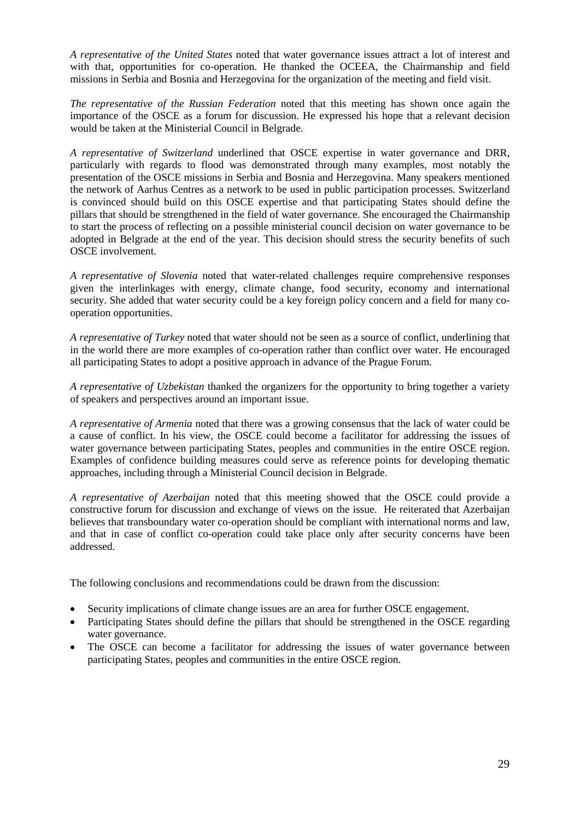*A representative of the United States* noted that water governance issues attract a lot of interest and with that, opportunities for co-operation. He thanked the OCEEA, the Chairmanship and field missions in Serbia and Bosnia and Herzegovina for the organization of the meeting and field visit.

*The representative of the Russian Federation* noted that this meeting has shown once again the importance of the OSCE as a forum for discussion. He expressed his hope that a relevant decision would be taken at the Ministerial Council in Belgrade.

*A representative of Switzerland* underlined that OSCE expertise in water governance and DRR, particularly with regards to flood was demonstrated through many examples, most notably the presentation of the OSCE missions in Serbia and Bosnia and Herzegovina. Many speakers mentioned the network of Aarhus Centres as a network to be used in public participation processes. Switzerland is convinced should build on this OSCE expertise and that participating States should define the pillars that should be strengthened in the field of water governance. She encouraged the Chairmanship to start the process of reflecting on a possible ministerial council decision on water governance to be adopted in Belgrade at the end of the year. This decision should stress the security benefits of such OSCE involvement.

*A representative of Slovenia* noted that water-related challenges require comprehensive responses given the interlinkages with energy, climate change, food security, economy and international security. She added that water security could be a key foreign policy concern and a field for many cooperation opportunities.

*A representative of Turkey* noted that water should not be seen as a source of conflict, underlining that in the world there are more examples of co-operation rather than conflict over water. He encouraged all participating States to adopt a positive approach in advance of the Prague Forum.

*A representative of Uzbekistan* thanked the organizers for the opportunity to bring together a variety of speakers and perspectives around an important issue.

*A representative of Armenia* noted that there was a growing consensus that the lack of water could be a cause of conflict. In his view, the OSCE could become a facilitator for addressing the issues of water governance between participating States, peoples and communities in the entire OSCE region. Examples of confidence building measures could serve as reference points for developing thematic approaches, including through a Ministerial Council decision in Belgrade.

*A representative of Azerbaijan* noted that this meeting showed that the OSCE could provide a constructive forum for discussion and exchange of views on the issue. He reiterated that Azerbaijan believes that transboundary water co-operation should be compliant with international norms and law, and that in case of conflict co-operation could take place only after security concerns have been addressed.

The following conclusions and recommendations could be drawn from the discussion:

- Security implications of climate change issues are an area for further OSCE engagement.
- Participating States should define the pillars that should be strengthened in the OSCE regarding water governance.
- The OSCE can become a facilitator for addressing the issues of water governance between participating States, peoples and communities in the entire OSCE region.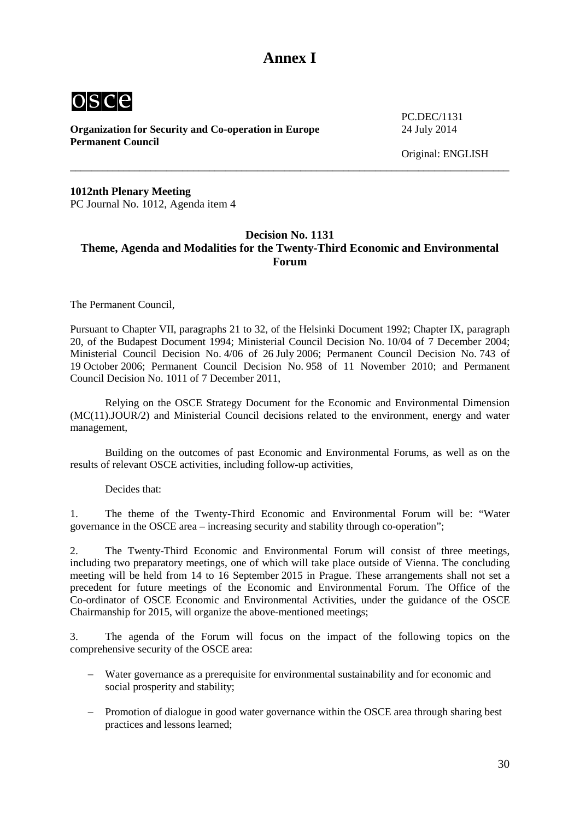## **Annex I**

<span id="page-29-0"></span>

**Organization for Security and Co-operation in Europe** 24 July 2014 **Permanent Council** 

PC.DEC/1131

Original: ENGLISH

**1012nth Plenary Meeting**  PC Journal No. 1012, Agenda item 4

## <span id="page-29-1"></span>**Decision No. 1131 Theme, Agenda and Modalities for the Twenty-Third Economic and Environmental Forum**

\_\_\_\_\_\_\_\_\_\_\_\_\_\_\_\_\_\_\_\_\_\_\_\_\_\_\_\_\_\_\_\_\_\_\_\_\_\_\_\_\_\_\_\_\_\_\_\_\_\_\_\_\_\_\_\_\_\_\_\_\_\_\_\_\_\_\_\_\_\_\_\_\_\_\_\_\_\_\_\_\_\_

The Permanent Council,

Pursuant to Chapter VII, paragraphs 21 to 32, of the Helsinki Document 1992; Chapter IX, paragraph 20, of the Budapest Document 1994; Ministerial Council Decision No. 10/04 of 7 December 2004; Ministerial Council Decision No. 4/06 of 26 July 2006; Permanent Council Decision No. 743 of 19 October 2006; Permanent Council Decision No. 958 of 11 November 2010; and Permanent Council Decision No. 1011 of 7 December 2011,

Relying on the OSCE Strategy Document for the Economic and Environmental Dimension (MC(11).JOUR/2) and Ministerial Council decisions related to the environment, energy and water management,

Building on the outcomes of past Economic and Environmental Forums, as well as on the results of relevant OSCE activities, including follow-up activities,

Decides that:

1. The theme of the Twenty-Third Economic and Environmental Forum will be: "Water governance in the OSCE area – increasing security and stability through co-operation";

2. The Twenty-Third Economic and Environmental Forum will consist of three meetings, including two preparatory meetings, one of which will take place outside of Vienna. The concluding meeting will be held from 14 to 16 September 2015 in Prague. These arrangements shall not set a precedent for future meetings of the Economic and Environmental Forum. The Office of the Co-ordinator of OSCE Economic and Environmental Activities, under the guidance of the OSCE Chairmanship for 2015, will organize the above-mentioned meetings;

3. The agenda of the Forum will focus on the impact of the following topics on the comprehensive security of the OSCE area:

- Water governance as a prerequisite for environmental sustainability and for economic and social prosperity and stability;
- − Promotion of dialogue in good water governance within the OSCE area through sharing best practices and lessons learned;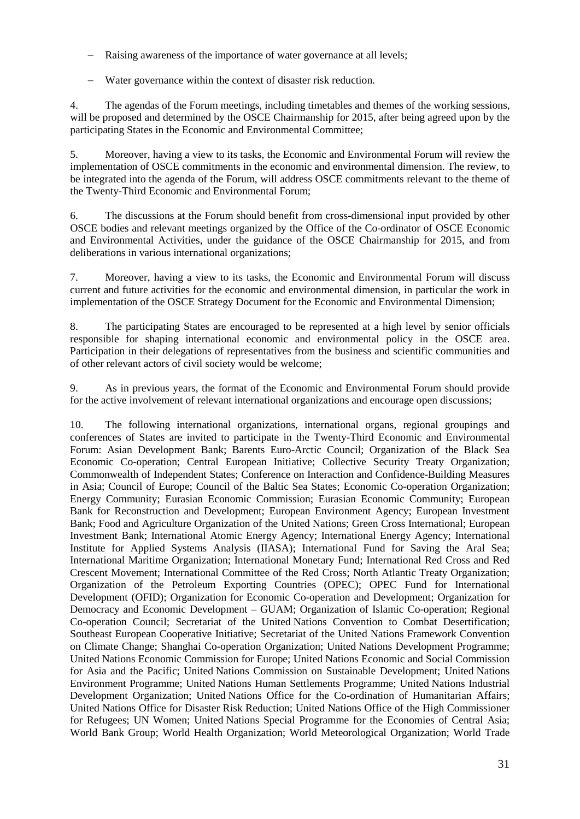- − Raising awareness of the importance of water governance at all levels;
- − Water governance within the context of disaster risk reduction.

4. The agendas of the Forum meetings, including timetables and themes of the working sessions, will be proposed and determined by the OSCE Chairmanship for 2015, after being agreed upon by the participating States in the Economic and Environmental Committee;

5. Moreover, having a view to its tasks, the Economic and Environmental Forum will review the implementation of OSCE commitments in the economic and environmental dimension. The review, to be integrated into the agenda of the Forum, will address OSCE commitments relevant to the theme of the Twenty-Third Economic and Environmental Forum;

6. The discussions at the Forum should benefit from cross-dimensional input provided by other OSCE bodies and relevant meetings organized by the Office of the Co-ordinator of OSCE Economic and Environmental Activities, under the guidance of the OSCE Chairmanship for 2015, and from deliberations in various international organizations;

7. Moreover, having a view to its tasks, the Economic and Environmental Forum will discuss current and future activities for the economic and environmental dimension, in particular the work in implementation of the OSCE Strategy Document for the Economic and Environmental Dimension;

8. The participating States are encouraged to be represented at a high level by senior officials responsible for shaping international economic and environmental policy in the OSCE area. Participation in their delegations of representatives from the business and scientific communities and of other relevant actors of civil society would be welcome;

9. As in previous years, the format of the Economic and Environmental Forum should provide for the active involvement of relevant international organizations and encourage open discussions;

10. The following international organizations, international organs, regional groupings and conferences of States are invited to participate in the Twenty-Third Economic and Environmental Forum: Asian Development Bank; Barents Euro-Arctic Council; Organization of the Black Sea Economic Co-operation; Central European Initiative; Collective Security Treaty Organization; Commonwealth of Independent States; Conference on Interaction and Confidence-Building Measures in Asia; Council of Europe; Council of the Baltic Sea States; Economic Co-operation Organization; Energy Community; Eurasian Economic Commission; Eurasian Economic Community; European Bank for Reconstruction and Development; European Environment Agency; European Investment Bank; Food and Agriculture Organization of the United Nations; Green Cross International; European Investment Bank; International Atomic Energy Agency; International Energy Agency; International Institute for Applied Systems Analysis (IIASA); International Fund for Saving the Aral Sea; International Maritime Organization; International Monetary Fund; International Red Cross and Red Crescent Movement; International Committee of the Red Cross; North Atlantic Treaty Organization; Organization of the Petroleum Exporting Countries (OPEC); OPEC Fund for International Development (OFID); Organization for Economic Co-operation and Development; Organization for Democracy and Economic Development – GUAM; Organization of Islamic Co-operation; Regional Co-operation Council; Secretariat of the United Nations Convention to Combat Desertification; Southeast European Cooperative Initiative; Secretariat of the United Nations Framework Convention on Climate Change; Shanghai Co-operation Organization; United Nations Development Programme; United Nations Economic Commission for Europe; United Nations Economic and Social Commission for Asia and the Pacific; United Nations Commission on Sustainable Development; United Nations Environment Programme; United Nations Human Settlements Programme; United Nations Industrial Development Organization; United Nations Office for the Co-ordination of Humanitarian Affairs; United Nations Office for Disaster Risk Reduction; United Nations Office of the High Commissioner for Refugees; UN Women; United Nations Special Programme for the Economies of Central Asia; World Bank Group; World Health Organization; World Meteorological Organization; World Trade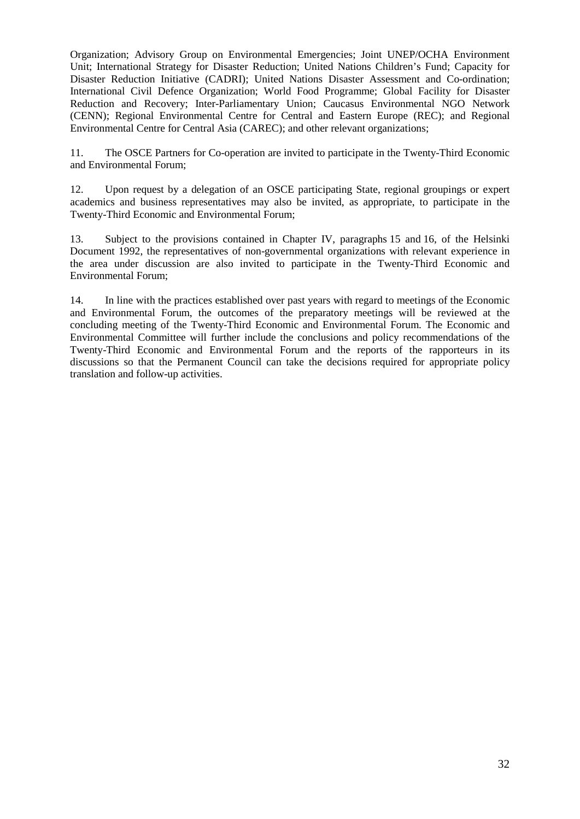Organization; Advisory Group on Environmental Emergencies; Joint UNEP/OCHA Environment Unit; International Strategy for Disaster Reduction; United Nations Children's Fund; Capacity for Disaster Reduction Initiative (CADRI); United Nations Disaster Assessment and Co-ordination; International Civil Defence Organization; World Food Programme; Global Facility for Disaster Reduction and Recovery; Inter-Parliamentary Union; Caucasus Environmental NGO Network (CENN); Regional Environmental Centre for Central and Eastern Europe (REC); and Regional Environmental Centre for Central Asia (CAREC); and other relevant organizations;

11. The OSCE Partners for Co-operation are invited to participate in the Twenty-Third Economic and Environmental Forum;

12. Upon request by a delegation of an OSCE participating State, regional groupings or expert academics and business representatives may also be invited, as appropriate, to participate in the Twenty-Third Economic and Environmental Forum;

13. Subject to the provisions contained in Chapter IV, paragraphs 15 and 16, of the Helsinki Document 1992, the representatives of non-governmental organizations with relevant experience in the area under discussion are also invited to participate in the Twenty-Third Economic and Environmental Forum;

14. In line with the practices established over past years with regard to meetings of the Economic and Environmental Forum, the outcomes of the preparatory meetings will be reviewed at the concluding meeting of the Twenty-Third Economic and Environmental Forum. The Economic and Environmental Committee will further include the conclusions and policy recommendations of the Twenty-Third Economic and Environmental Forum and the reports of the rapporteurs in its discussions so that the Permanent Council can take the decisions required for appropriate policy translation and follow-up activities.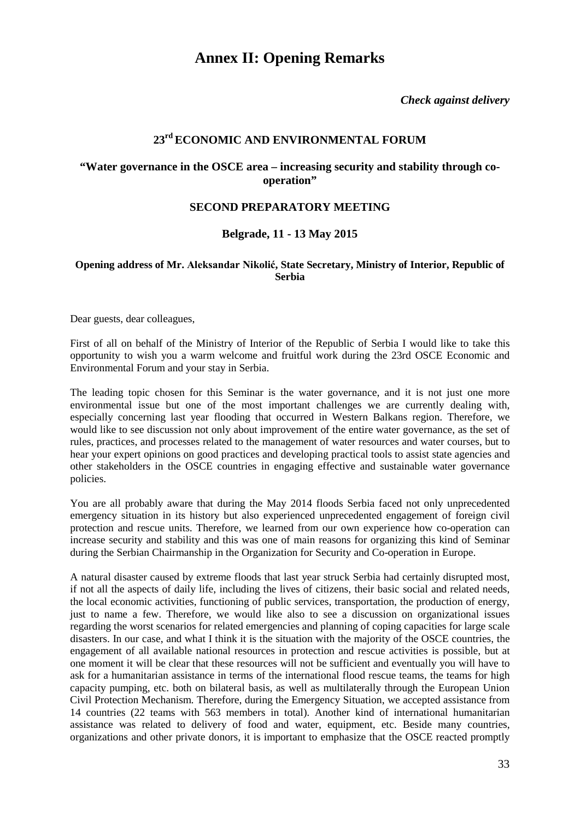## **Annex II: Opening Remarks**

*Check against delivery*

## **23rd ECONOMIC AND ENVIRONMENTAL FORUM**

## <span id="page-32-0"></span>**"Water governance in the OSCE area – increasing security and stability through cooperation"**

## **SECOND PREPARATORY MEETING**

## **Belgrade, 11 - 13 May 2015**

## <span id="page-32-1"></span>**Opening address of Mr. Aleksandar Nikolić, State Secretary, Ministry of Interior, Republic of Serbia**

Dear guests, dear colleagues,

First of all on behalf of the Ministry of Interior of the Republic of Serbia I would like to take this opportunity to wish you a warm welcome and fruitful work during the 23rd OSCE Economic and Environmental Forum and your stay in Serbia.

The leading topic chosen for this Seminar is the water governance, and it is not just one more environmental issue but one of the most important challenges we are currently dealing with, especially concerning last year flooding that occurred in Western Balkans region. Therefore, we would like to see discussion not only about improvement of the entire water governance, as the set of rules, practices, and processes related to the management of water resources and water courses, but to hear your expert opinions on good practices and developing practical tools to assist state agencies and other stakeholders in the OSCE countries in engaging effective and sustainable water governance policies.

You are all probably aware that during the May 2014 floods Serbia faced not only unprecedented emergency situation in its history but also experienced unprecedented engagement of foreign civil protection and rescue units. Therefore, we learned from our own experience how co-operation can increase security and stability and this was one of main reasons for organizing this kind of Seminar during the Serbian Chairmanship in the Organization for Security and Co-operation in Europe.

A natural disaster caused by extreme floods that last year struck Serbia had certainly disrupted most, if not all the aspects of daily life, including the lives of citizens, their basic social and related needs, the local economic activities, functioning of public services, transportation, the production of energy, just to name a few. Therefore, we would like also to see a discussion on organizational issues regarding the worst scenarios for related emergencies and planning of coping capacities for large scale disasters. In our case, and what I think it is the situation with the majority of the OSCE countries, the engagement of all available national resources in protection and rescue activities is possible, but at one moment it will be clear that these resources will not be sufficient and eventually you will have to ask for a humanitarian assistance in terms of the international flood rescue teams, the teams for high capacity pumping, etc. both on bilateral basis, as well as multilaterally through the European Union Civil Protection Mechanism. Therefore, during the Emergency Situation, we accepted assistance from 14 countries (22 teams with 563 members in total). Another kind of international humanitarian assistance was related to delivery of food and water, equipment, etc. Beside many countries, organizations and other private donors, it is important to emphasize that the OSCE reacted promptly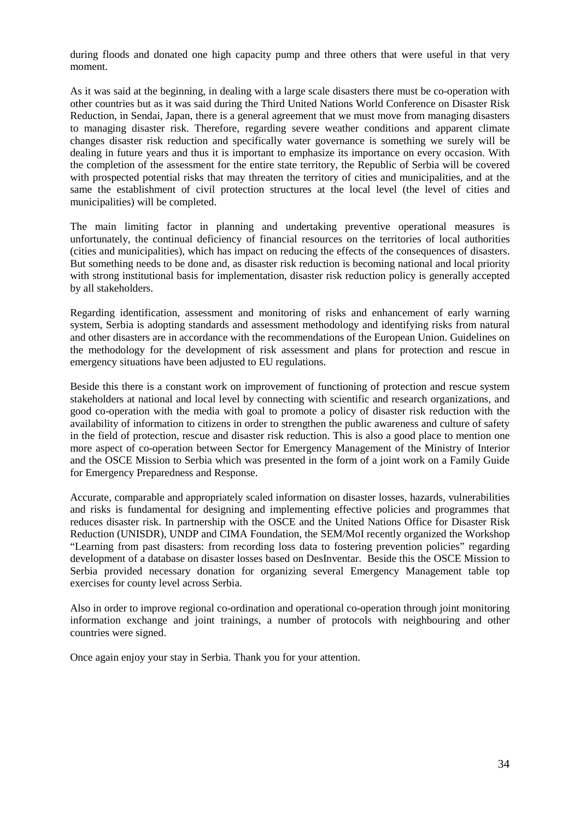during floods and donated one high capacity pump and three others that were useful in that very moment.

As it was said at the beginning, in dealing with a large scale disasters there must be co-operation with other countries but as it was said during the Third United Nations World Conference on Disaster Risk Reduction, in Sendai, Japan, there is a general agreement that we must move from managing disasters to managing disaster risk. Therefore, regarding severe weather conditions and apparent climate changes disaster risk reduction and specifically water governance is something we surely will be dealing in future years and thus it is important to emphasize its importance on every occasion. With the completion of the assessment for the entire state territory, the Republic of Serbia will be covered with prospected potential risks that may threaten the territory of cities and municipalities, and at the same the establishment of civil protection structures at the local level (the level of cities and municipalities) will be completed.

The main limiting factor in planning and undertaking preventive operational measures is unfortunately, the continual deficiency of financial resources on the territories of local authorities (cities and municipalities), which has impact on reducing the effects of the consequences of disasters. But something needs to be done and, as disaster risk reduction is becoming national and local priority with strong institutional basis for implementation, disaster risk reduction policy is generally accepted by all stakeholders.

Regarding identification, assessment and monitoring of risks and enhancement of early warning system, Serbia is adopting standards and assessment methodology and identifying risks from natural and other disasters are in accordance with the recommendations of the European Union. Guidelines on the methodology for the development of risk assessment and plans for protection and rescue in emergency situations have been adjusted to EU regulations.

Beside this there is a constant work on improvement of functioning of protection and rescue system stakeholders at national and local level by connecting with scientific and research organizations, and good co-operation with the media with goal to promote a policy of disaster risk reduction with the availability of information to citizens in order to strengthen the public awareness and culture of safety in the field of protection, rescue and disaster risk reduction. This is also a good place to mention one more aspect of co-operation between Sector for Emergency Management of the Ministry of Interior and the OSCE Mission to Serbia which was presented in the form of a joint work on a Family Guide for Emergency Preparedness and Response.

Accurate, comparable and appropriately scaled information on disaster losses, hazards, vulnerabilities and risks is fundamental for designing and implementing effective policies and programmes that reduces disaster risk. In partnership with the OSCE and the United Nations Office for Disaster Risk Reduction (UNISDR), UNDP and CIMA Foundation, the SEM/MoI recently organized the Workshop "Learning from past disasters: from recording loss data to fostering prevention policies" regarding development of a database on disaster losses based on DesInventar. Beside this the OSCE Mission to Serbia provided necessary donation for organizing several Emergency Management table top exercises for county level across Serbia.

Also in order to improve regional co-ordination and operational co-operation through joint monitoring information exchange and joint trainings, a number of protocols with neighbouring and other countries were signed.

Once again enjoy your stay in Serbia. Thank you for your attention.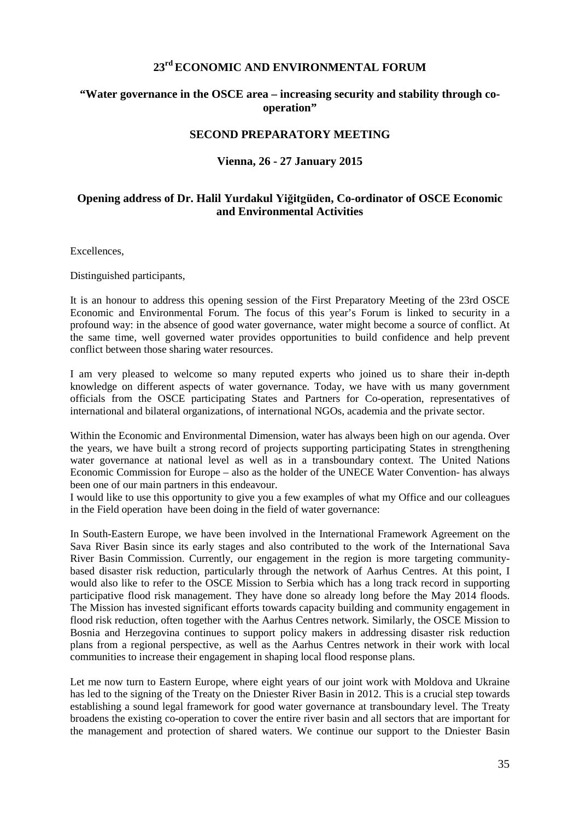## **23rd ECONOMIC AND ENVIRONMENTAL FORUM**

## **"Water governance in the OSCE area – increasing security and stability through cooperation"**

## **SECOND PREPARATORY MEETING**

## **Vienna, 26 - 27 January 2015**

## <span id="page-34-0"></span>**Opening address of Dr. Halil Yurdakul Yiğitgüden, Co-ordinator of OSCE Economic and Environmental Activities**

Excellences,

Distinguished participants,

It is an honour to address this opening session of the First Preparatory Meeting of the 23rd OSCE Economic and Environmental Forum. The focus of this year's Forum is linked to security in a profound way: in the absence of good water governance, water might become a source of conflict. At the same time, well governed water provides opportunities to build confidence and help prevent conflict between those sharing water resources.

I am very pleased to welcome so many reputed experts who joined us to share their in-depth knowledge on different aspects of water governance. Today, we have with us many government officials from the OSCE participating States and Partners for Co-operation, representatives of international and bilateral organizations, of international NGOs, academia and the private sector.

Within the Economic and Environmental Dimension, water has always been high on our agenda. Over the years, we have built a strong record of projects supporting participating States in strengthening water governance at national level as well as in a transboundary context. The United Nations Economic Commission for Europe – also as the holder of the UNECE Water Convention- has always been one of our main partners in this endeavour.

I would like to use this opportunity to give you a few examples of what my Office and our colleagues in the Field operation have been doing in the field of water governance:

In South-Eastern Europe, we have been involved in the International Framework Agreement on the Sava River Basin since its early stages and also contributed to the work of the International Sava River Basin Commission. Currently, our engagement in the region is more targeting communitybased disaster risk reduction, particularly through the network of Aarhus Centres. At this point, I would also like to refer to the OSCE Mission to Serbia which has a long track record in supporting participative flood risk management. They have done so already long before the May 2014 floods. The Mission has invested significant efforts towards capacity building and community engagement in flood risk reduction, often together with the Aarhus Centres network. Similarly, the OSCE Mission to Bosnia and Herzegovina continues to support policy makers in addressing disaster risk reduction plans from a regional perspective, as well as the Aarhus Centres network in their work with local communities to increase their engagement in shaping local flood response plans.

Let me now turn to Eastern Europe, where eight years of our joint work with Moldova and Ukraine has led to the signing of the Treaty on the Dniester River Basin in 2012. This is a crucial step towards establishing a sound legal framework for good water governance at transboundary level. The Treaty broadens the existing co-operation to cover the entire river basin and all sectors that are important for the management and protection of shared waters. We continue our support to the Dniester Basin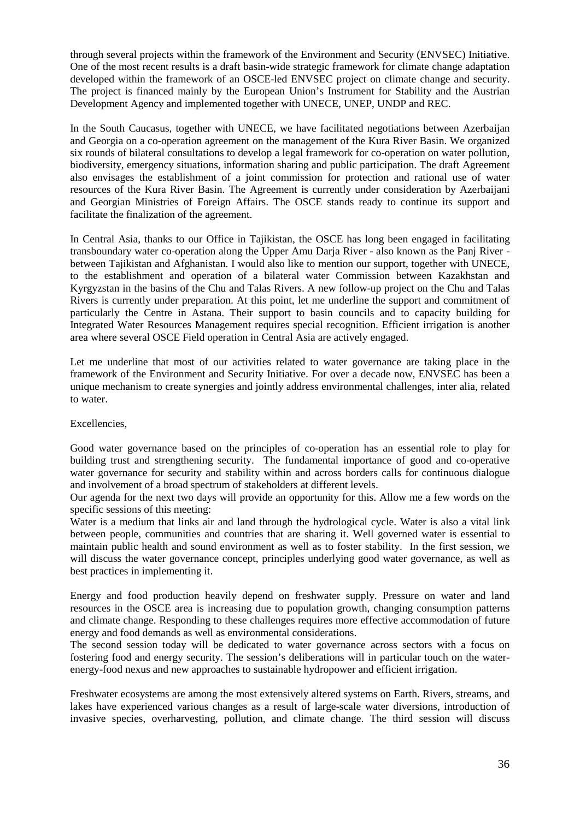through several projects within the framework of the Environment and Security (ENVSEC) Initiative. One of the most recent results is a draft basin-wide strategic framework for climate change adaptation developed within the framework of an OSCE-led ENVSEC project on climate change and security. The project is financed mainly by the European Union's Instrument for Stability and the Austrian Development Agency and implemented together with UNECE, UNEP, UNDP and REC.

In the South Caucasus, together with UNECE, we have facilitated negotiations between Azerbaijan and Georgia on a co-operation agreement on the management of the Kura River Basin. We organized six rounds of bilateral consultations to develop a legal framework for co-operation on water pollution, biodiversity, emergency situations, information sharing and public participation. The draft Agreement also envisages the establishment of a joint commission for protection and rational use of water resources of the Kura River Basin. The Agreement is currently under consideration by Azerbaijani and Georgian Ministries of Foreign Affairs. The OSCE stands ready to continue its support and facilitate the finalization of the agreement.

In Central Asia, thanks to our Office in Tajikistan, the OSCE has long been engaged in facilitating transboundary water co-operation along the Upper Amu Darja River - also known as the Panj River between Tajikistan and Afghanistan. I would also like to mention our support, together with UNECE, to the establishment and operation of a bilateral water Commission between Kazakhstan and Kyrgyzstan in the basins of the Chu and Talas Rivers. A new follow-up project on the Chu and Talas Rivers is currently under preparation. At this point, let me underline the support and commitment of particularly the Centre in Astana. Their support to basin councils and to capacity building for Integrated Water Resources Management requires special recognition. Efficient irrigation is another area where several OSCE Field operation in Central Asia are actively engaged.

Let me underline that most of our activities related to water governance are taking place in the framework of the Environment and Security Initiative. For over a decade now, ENVSEC has been a unique mechanism to create synergies and jointly address environmental challenges, inter alia, related to water.

## Excellencies,

Good water governance based on the principles of co-operation has an essential role to play for building trust and strengthening security. The fundamental importance of good and co-operative water governance for security and stability within and across borders calls for continuous dialogue and involvement of a broad spectrum of stakeholders at different levels.

Our agenda for the next two days will provide an opportunity for this. Allow me a few words on the specific sessions of this meeting:

Water is a medium that links air and land through the hydrological cycle. Water is also a vital link between people, communities and countries that are sharing it. Well governed water is essential to maintain public health and sound environment as well as to foster stability. In the first session, we will discuss the water governance concept, principles underlying good water governance, as well as best practices in implementing it.

Energy and food production heavily depend on freshwater supply. Pressure on water and land resources in the OSCE area is increasing due to population growth, changing consumption patterns and climate change. Responding to these challenges requires more effective accommodation of future energy and food demands as well as environmental considerations.

The second session today will be dedicated to water governance across sectors with a focus on fostering food and energy security. The session's deliberations will in particular touch on the waterenergy-food nexus and new approaches to sustainable hydropower and efficient irrigation.

Freshwater ecosystems are among the most extensively altered systems on Earth. Rivers, streams, and lakes have experienced various changes as a result of large-scale water diversions, introduction of invasive species, overharvesting, pollution, and climate change. The third session will discuss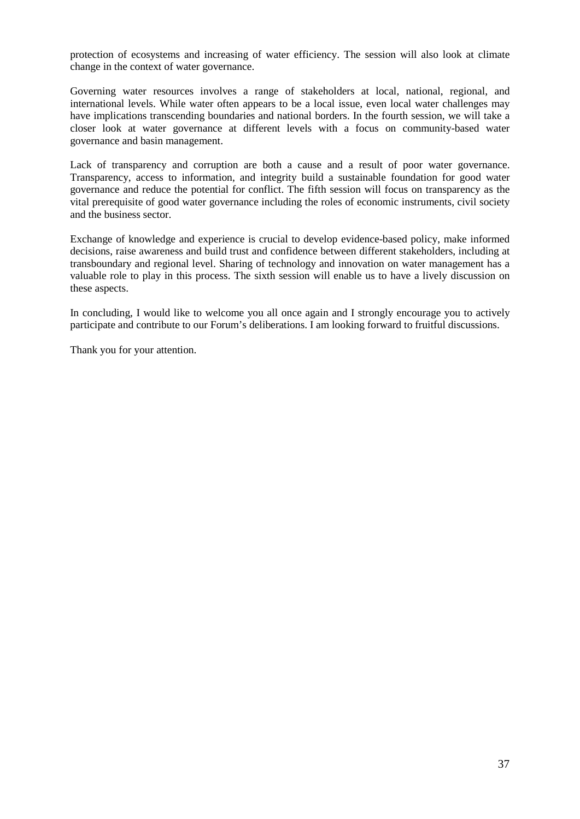protection of ecosystems and increasing of water efficiency. The session will also look at climate change in the context of water governance.

Governing water resources involves a range of stakeholders at local, national, regional, and international levels. While water often appears to be a local issue, even local water challenges may have implications transcending boundaries and national borders. In the fourth session, we will take a closer look at water governance at different levels with a focus on community-based water governance and basin management.

Lack of transparency and corruption are both a cause and a result of poor water governance. Transparency, access to information, and integrity build a sustainable foundation for good water governance and reduce the potential for conflict. The fifth session will focus on transparency as the vital prerequisite of good water governance including the roles of economic instruments, civil society and the business sector.

Exchange of knowledge and experience is crucial to develop evidence-based policy, make informed decisions, raise awareness and build trust and confidence between different stakeholders, including at transboundary and regional level. Sharing of technology and innovation on water management has a valuable role to play in this process. The sixth session will enable us to have a lively discussion on these aspects.

In concluding, I would like to welcome you all once again and I strongly encourage you to actively participate and contribute to our Forum's deliberations. I am looking forward to fruitful discussions.

Thank you for your attention.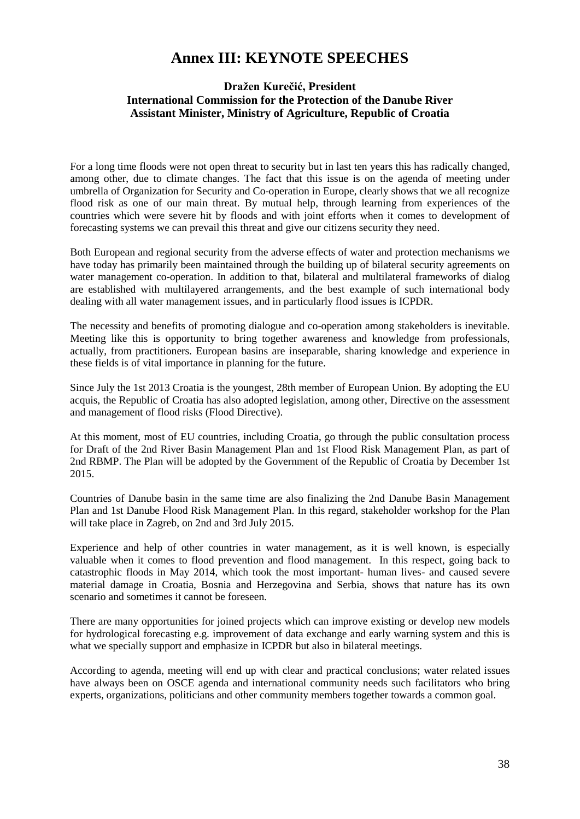## **Annex III: KEYNOTE SPEECHES**

## <span id="page-37-0"></span>**Dražen Kurečić, President International Commission for the Protection of the Danube River Assistant Minister, Ministry of Agriculture, Republic of Croatia**

For a long time floods were not open threat to security but in last ten years this has radically changed, among other, due to climate changes. The fact that this issue is on the agenda of meeting under umbrella of Organization for Security and Co-operation in Europe, clearly shows that we all recognize flood risk as one of our main threat. By mutual help, through learning from experiences of the countries which were severe hit by floods and with joint efforts when it comes to development of forecasting systems we can prevail this threat and give our citizens security they need.

Both European and regional security from the adverse effects of water and protection mechanisms we have today has primarily been maintained through the building up of bilateral security agreements on water management co-operation. In addition to that, bilateral and multilateral frameworks of dialog are established with multilayered arrangements, and the best example of such international body dealing with all water management issues, and in particularly flood issues is ICPDR.

The necessity and benefits of promoting dialogue and co-operation among stakeholders is inevitable. Meeting like this is opportunity to bring together awareness and knowledge from professionals, actually, from practitioners. European basins are inseparable, sharing knowledge and experience in these fields is of vital importance in planning for the future.

Since July the 1st 2013 Croatia is the youngest, 28th member of European Union. By adopting the EU acquis, the Republic of Croatia has also adopted legislation, among other, Directive on the assessment and management of flood risks (Flood Directive).

At this moment, most of EU countries, including Croatia, go through the public consultation process for Draft of the 2nd River Basin Management Plan and 1st Flood Risk Management Plan, as part of 2nd RBMP. The Plan will be adopted by the Government of the Republic of Croatia by December 1st 2015.

Countries of Danube basin in the same time are also finalizing the 2nd Danube Basin Management Plan and 1st Danube Flood Risk Management Plan. In this regard, stakeholder workshop for the Plan will take place in Zagreb, on 2nd and 3rd July 2015.

Experience and help of other countries in water management, as it is well known, is especially valuable when it comes to flood prevention and flood management. In this respect, going back to catastrophic floods in May 2014, which took the most important- human lives- and caused severe material damage in Croatia, Bosnia and Herzegovina and Serbia, shows that nature has its own scenario and sometimes it cannot be foreseen.

There are many opportunities for joined projects which can improve existing or develop new models for hydrological forecasting e.g. improvement of data exchange and early warning system and this is what we specially support and emphasize in ICPDR but also in bilateral meetings.

According to agenda, meeting will end up with clear and practical conclusions; water related issues have always been on OSCE agenda and international community needs such facilitators who bring experts, organizations, politicians and other community members together towards a common goal.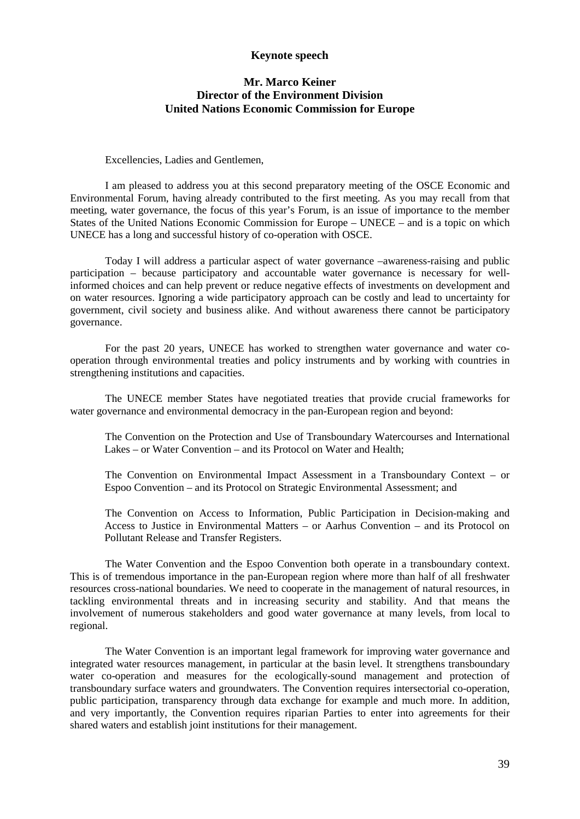### **Keynote speech**

## **Mr. Marco Keiner Director of the Environment Division United Nations Economic Commission for Europe**

Excellencies, Ladies and Gentlemen,

I am pleased to address you at this second preparatory meeting of the OSCE Economic and Environmental Forum, having already contributed to the first meeting. As you may recall from that meeting, water governance, the focus of this year's Forum, is an issue of importance to the member States of the United Nations Economic Commission for Europe – UNECE – and is a topic on which UNECE has a long and successful history of co-operation with OSCE.

Today I will address a particular aspect of water governance –awareness-raising and public participation – because participatory and accountable water governance is necessary for wellinformed choices and can help prevent or reduce negative effects of investments on development and on water resources. Ignoring a wide participatory approach can be costly and lead to uncertainty for government, civil society and business alike. And without awareness there cannot be participatory governance.

For the past 20 years, UNECE has worked to strengthen water governance and water cooperation through environmental treaties and policy instruments and by working with countries in strengthening institutions and capacities.

The UNECE member States have negotiated treaties that provide crucial frameworks for water governance and environmental democracy in the pan-European region and beyond:

The Convention on the Protection and Use of Transboundary Watercourses and International Lakes – or Water Convention – and its Protocol on Water and Health;

The Convention on Environmental Impact Assessment in a Transboundary Context – or Espoo Convention – and its Protocol on Strategic Environmental Assessment; and

The Convention on Access to Information, Public Participation in Decision-making and Access to Justice in Environmental Matters – or Aarhus Convention – and its Protocol on Pollutant Release and Transfer Registers.

The Water Convention and the Espoo Convention both operate in a transboundary context. This is of tremendous importance in the pan-European region where more than half of all freshwater resources cross-national boundaries. We need to cooperate in the management of natural resources, in tackling environmental threats and in increasing security and stability. And that means the involvement of numerous stakeholders and good water governance at many levels, from local to regional.

The Water Convention is an important legal framework for improving water governance and integrated water resources management, in particular at the basin level. It strengthens transboundary water co-operation and measures for the ecologically-sound management and protection of transboundary surface waters and groundwaters. The Convention requires intersectorial co-operation, public participation, transparency through data exchange for example and much more. In addition, and very importantly, the Convention requires riparian Parties to enter into agreements for their shared waters and establish joint institutions for their management.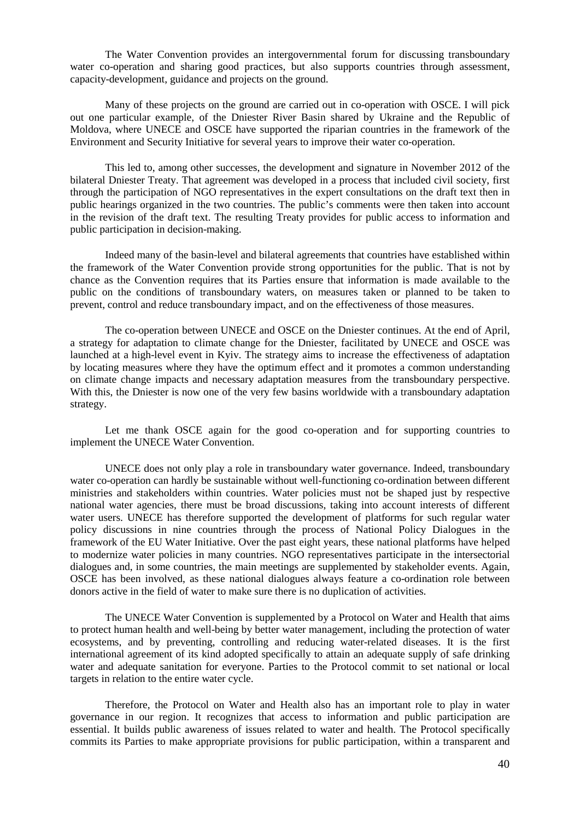The Water Convention provides an intergovernmental forum for discussing transboundary water co-operation and sharing good practices, but also supports countries through assessment, capacity-development, guidance and projects on the ground.

Many of these projects on the ground are carried out in co-operation with OSCE. I will pick out one particular example, of the Dniester River Basin shared by Ukraine and the Republic of Moldova, where UNECE and OSCE have supported the riparian countries in the framework of the Environment and Security Initiative for several years to improve their water co-operation.

This led to, among other successes, the development and signature in November 2012 of the bilateral Dniester Treaty. That agreement was developed in a process that included civil society, first through the participation of NGO representatives in the expert consultations on the draft text then in public hearings organized in the two countries. The public's comments were then taken into account in the revision of the draft text. The resulting Treaty provides for public access to information and public participation in decision-making.

Indeed many of the basin-level and bilateral agreements that countries have established within the framework of the Water Convention provide strong opportunities for the public. That is not by chance as the Convention requires that its Parties ensure that information is made available to the public on the conditions of transboundary waters, on measures taken or planned to be taken to prevent, control and reduce transboundary impact, and on the effectiveness of those measures.

The co-operation between UNECE and OSCE on the Dniester continues. At the end of April, a strategy for adaptation to climate change for the Dniester, facilitated by UNECE and OSCE was launched at a high-level event in Kyiv. The strategy aims to increase the effectiveness of adaptation by locating measures where they have the optimum effect and it promotes a common understanding on climate change impacts and necessary adaptation measures from the transboundary perspective. With this, the Dniester is now one of the very few basins worldwide with a transboundary adaptation strategy.

Let me thank OSCE again for the good co-operation and for supporting countries to implement the UNECE Water Convention.

UNECE does not only play a role in transboundary water governance. Indeed, transboundary water co-operation can hardly be sustainable without well-functioning co-ordination between different ministries and stakeholders within countries. Water policies must not be shaped just by respective national water agencies, there must be broad discussions, taking into account interests of different water users. UNECE has therefore supported the development of platforms for such regular water policy discussions in nine countries through the process of National Policy Dialogues in the framework of the EU Water Initiative. Over the past eight years, these national platforms have helped to modernize water policies in many countries. NGO representatives participate in the intersectorial dialogues and, in some countries, the main meetings are supplemented by stakeholder events. Again, OSCE has been involved, as these national dialogues always feature a co-ordination role between donors active in the field of water to make sure there is no duplication of activities.

The UNECE Water Convention is supplemented by a Protocol on Water and Health that aims to protect human health and well-being by better water management, including the protection of water ecosystems, and by preventing, controlling and reducing water-related diseases. It is the first international agreement of its kind adopted specifically to attain an adequate supply of safe drinking water and adequate sanitation for everyone. Parties to the Protocol commit to set national or local targets in relation to the entire water cycle.

Therefore, the Protocol on Water and Health also has an important role to play in water governance in our region. It recognizes that access to information and public participation are essential. It builds public awareness of issues related to water and health. The Protocol specifically commits its Parties to make appropriate provisions for public participation, within a transparent and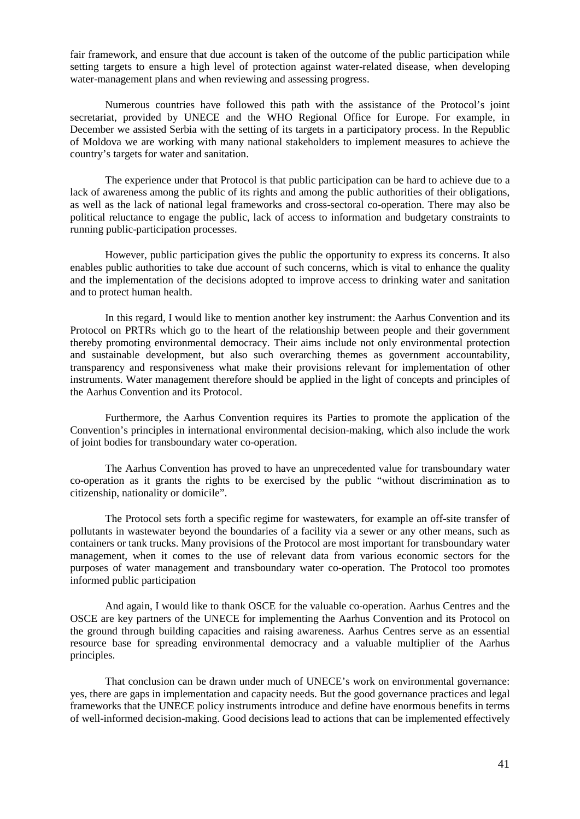fair framework, and ensure that due account is taken of the outcome of the public participation while setting targets to ensure a high level of protection against water-related disease, when developing water-management plans and when reviewing and assessing progress.

Numerous countries have followed this path with the assistance of the Protocol's joint secretariat, provided by UNECE and the WHO Regional Office for Europe. For example, in December we assisted Serbia with the setting of its targets in a participatory process. In the Republic of Moldova we are working with many national stakeholders to implement measures to achieve the country's targets for water and sanitation.

The experience under that Protocol is that public participation can be hard to achieve due to a lack of awareness among the public of its rights and among the public authorities of their obligations, as well as the lack of national legal frameworks and cross-sectoral co-operation. There may also be political reluctance to engage the public, lack of access to information and budgetary constraints to running public-participation processes.

However, public participation gives the public the opportunity to express its concerns. It also enables public authorities to take due account of such concerns, which is vital to enhance the quality and the implementation of the decisions adopted to improve access to drinking water and sanitation and to protect human health.

In this regard, I would like to mention another key instrument: the Aarhus Convention and its Protocol on PRTRs which go to the heart of the relationship between people and their government thereby promoting environmental democracy. Their aims include not only environmental protection and sustainable development, but also such overarching themes as government accountability, transparency and responsiveness what make their provisions relevant for implementation of other instruments. Water management therefore should be applied in the light of concepts and principles of the Aarhus Convention and its Protocol.

Furthermore, the Aarhus Convention requires its Parties to promote the application of the Convention's principles in international environmental decision-making, which also include the work of joint bodies for transboundary water co-operation.

The Aarhus Convention has proved to have an unprecedented value for transboundary water co-operation as it grants the rights to be exercised by the public "without discrimination as to citizenship, nationality or domicile".

The Protocol sets forth a specific regime for wastewaters, for example an off-site transfer of pollutants in wastewater beyond the boundaries of a facility via a sewer or any other means, such as containers or tank trucks. Many provisions of the Protocol are most important for transboundary water management, when it comes to the use of relevant data from various economic sectors for the purposes of water management and transboundary water co-operation. The Protocol too promotes informed public participation

And again, I would like to thank OSCE for the valuable co-operation. Aarhus Centres and the OSCE are key partners of the UNECE for implementing the Aarhus Convention and its Protocol on the ground through building capacities and raising awareness. Aarhus Centres serve as an essential resource base for spreading environmental democracy and a valuable multiplier of the Aarhus principles.

That conclusion can be drawn under much of UNECE's work on environmental governance: yes, there are gaps in implementation and capacity needs. But the good governance practices and legal frameworks that the UNECE policy instruments introduce and define have enormous benefits in terms of well-informed decision-making. Good decisions lead to actions that can be implemented effectively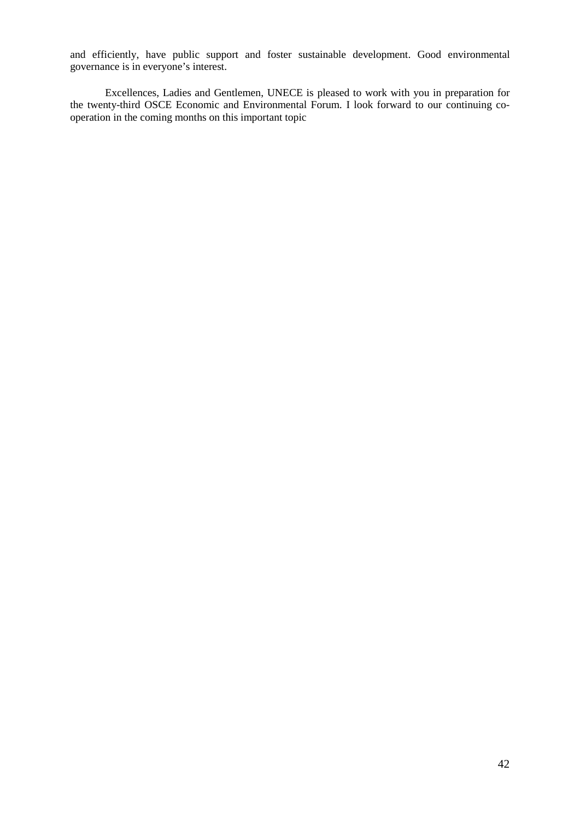and efficiently, have public support and foster sustainable development. Good environmental governance is in everyone's interest.

<span id="page-41-0"></span>Excellences, Ladies and Gentlemen, UNECE is pleased to work with you in preparation for the twenty-third OSCE Economic and Environmental Forum. I look forward to our continuing cooperation in the coming months on this important topic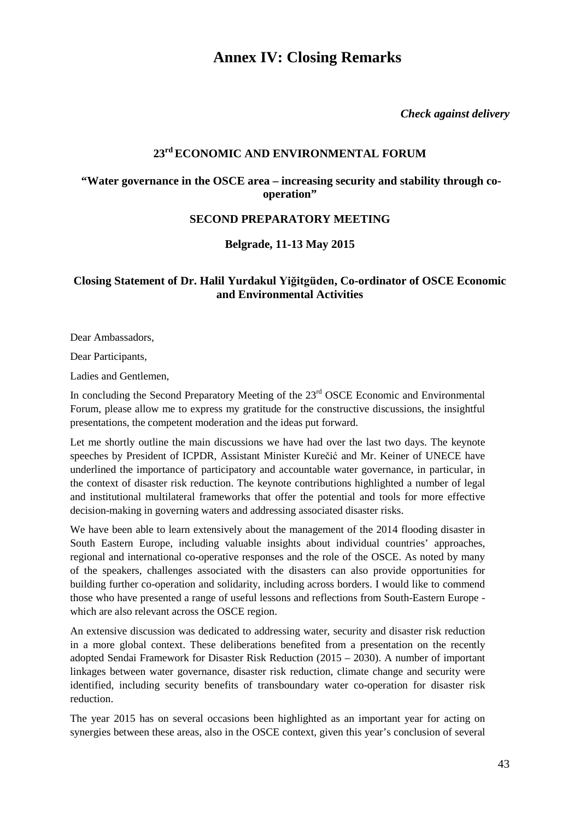## **Annex IV: Closing Remarks**

*Check against delivery*

## **23rd ECONOMIC AND ENVIRONMENTAL FORUM**

## **"Water governance in the OSCE area – increasing security and stability through cooperation"**

## **SECOND PREPARATORY MEETING**

**Belgrade, 11-13 May 2015**

## <span id="page-42-0"></span>**Closing Statement of Dr. Halil Yurdakul Yiğitgüden, Co-ordinator of OSCE Economic and Environmental Activities**

Dear Ambassadors,

Dear Participants,

Ladies and Gentlemen,

In concluding the Second Preparatory Meeting of the  $23<sup>rd</sup>$  OSCE Economic and Environmental Forum, please allow me to express my gratitude for the constructive discussions, the insightful presentations, the competent moderation and the ideas put forward.

Let me shortly outline the main discussions we have had over the last two days. The keynote speeches by President of ICPDR, Assistant Minister Kurečić and Mr. Keiner of UNECE have underlined the importance of participatory and accountable water governance, in particular, in the context of disaster risk reduction. The keynote contributions highlighted a number of legal and institutional multilateral frameworks that offer the potential and tools for more effective decision-making in governing waters and addressing associated disaster risks.

We have been able to learn extensively about the management of the 2014 flooding disaster in South Eastern Europe, including valuable insights about individual countries' approaches, regional and international co-operative responses and the role of the OSCE. As noted by many of the speakers, challenges associated with the disasters can also provide opportunities for building further co-operation and solidarity, including across borders. I would like to commend those who have presented a range of useful lessons and reflections from South-Eastern Europe which are also relevant across the OSCE region.

An extensive discussion was dedicated to addressing water, security and disaster risk reduction in a more global context. These deliberations benefited from a presentation on the recently adopted Sendai Framework for Disaster Risk Reduction (2015 – 2030). A number of important linkages between water governance, disaster risk reduction, climate change and security were identified, including security benefits of transboundary water co-operation for disaster risk reduction.

The year 2015 has on several occasions been highlighted as an important year for acting on synergies between these areas, also in the OSCE context, given this year's conclusion of several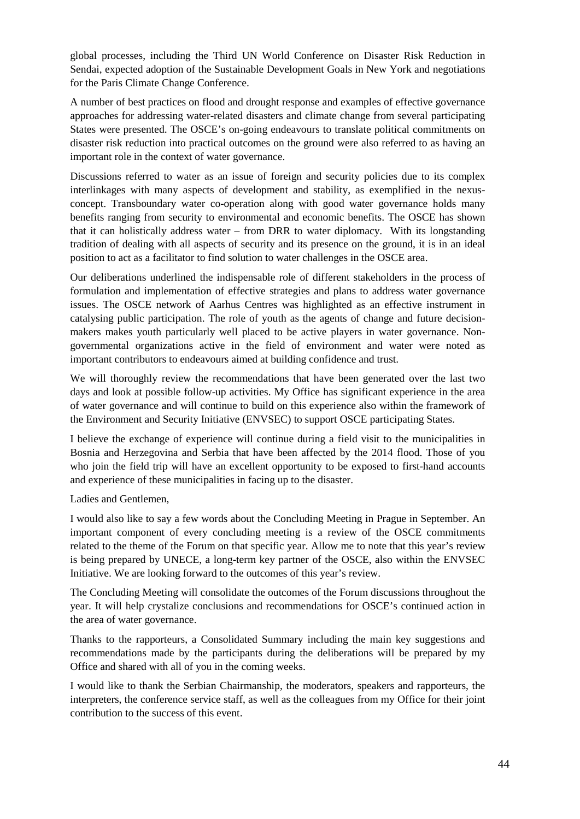global processes, including the Third UN World Conference on Disaster Risk Reduction in Sendai, expected adoption of the Sustainable Development Goals in New York and negotiations for the Paris Climate Change Conference.

A number of best practices on flood and drought response and examples of effective governance approaches for addressing water-related disasters and climate change from several participating States were presented. The OSCE's on-going endeavours to translate political commitments on disaster risk reduction into practical outcomes on the ground were also referred to as having an important role in the context of water governance.

Discussions referred to water as an issue of foreign and security policies due to its complex interlinkages with many aspects of development and stability, as exemplified in the nexusconcept. Transboundary water co-operation along with good water governance holds many benefits ranging from security to environmental and economic benefits. The OSCE has shown that it can holistically address water – from DRR to water diplomacy. With its longstanding tradition of dealing with all aspects of security and its presence on the ground, it is in an ideal position to act as a facilitator to find solution to water challenges in the OSCE area.

Our deliberations underlined the indispensable role of different stakeholders in the process of formulation and implementation of effective strategies and plans to address water governance issues. The OSCE network of Aarhus Centres was highlighted as an effective instrument in catalysing public participation. The role of youth as the agents of change and future decisionmakers makes youth particularly well placed to be active players in water governance. Nongovernmental organizations active in the field of environment and water were noted as important contributors to endeavours aimed at building confidence and trust.

We will thoroughly review the recommendations that have been generated over the last two days and look at possible follow-up activities. My Office has significant experience in the area of water governance and will continue to build on this experience also within the framework of the Environment and Security Initiative (ENVSEC) to support OSCE participating States.

I believe the exchange of experience will continue during a field visit to the municipalities in Bosnia and Herzegovina and Serbia that have been affected by the 2014 flood. Those of you who join the field trip will have an excellent opportunity to be exposed to first-hand accounts and experience of these municipalities in facing up to the disaster.

Ladies and Gentlemen,

I would also like to say a few words about the Concluding Meeting in Prague in September. An important component of every concluding meeting is a review of the OSCE commitments related to the theme of the Forum on that specific year. Allow me to note that this year's review is being prepared by UNECE, a long-term key partner of the OSCE, also within the ENVSEC Initiative. We are looking forward to the outcomes of this year's review.

The Concluding Meeting will consolidate the outcomes of the Forum discussions throughout the year. It will help crystalize conclusions and recommendations for OSCE's continued action in the area of water governance.

Thanks to the rapporteurs, a Consolidated Summary including the main key suggestions and recommendations made by the participants during the deliberations will be prepared by my Office and shared with all of you in the coming weeks.

I would like to thank the Serbian Chairmanship, the moderators, speakers and rapporteurs, the interpreters, the conference service staff, as well as the colleagues from my Office for their joint contribution to the success of this event.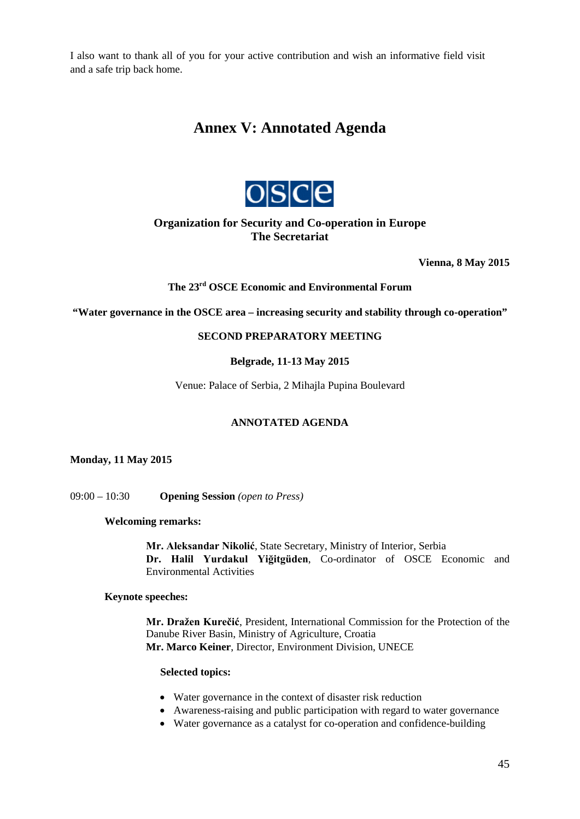<span id="page-44-0"></span>I also want to thank all of you for your active contribution and wish an informative field visit and a safe trip back home.

## **Annex V: Annotated Agenda**



## **Organization for Security and Co-operation in Europe The Secretariat**

**Vienna, 8 May 2015** 

## **The 23rd OSCE Economic and Environmental Forum**

**"Water governance in the OSCE area – increasing security and stability through co-operation"**

## **SECOND PREPARATORY MEETING**

## **Belgrade, 11-13 May 2015**

Venue: Palace of Serbia, 2 Mihajla Pupina Boulevard

## **ANNOTATED AGENDA**

**Monday, 11 May 2015**

09:00 – 10:30 **Opening Session** *(open to Press)*

**Welcoming remarks:**

− **Mr. Aleksandar Nikolić**, State Secretary, Ministry of Interior, Serbia − **Dr. Halil Yurdakul Yiğitgüden**, Co-ordinator of OSCE Economic and Environmental Activities

### **Keynote speeches:**

− **Mr. Dražen Kurečić**, President, International Commission for the Protection of the Danube River Basin, Ministry of Agriculture, Croatia − **Mr. Marco Keiner**, Director, Environment Division, UNECE

#### **Selected topics:**

- Water governance in the context of disaster risk reduction
- Awareness-raising and public participation with regard to water governance
- Water governance as a catalyst for co-operation and confidence-building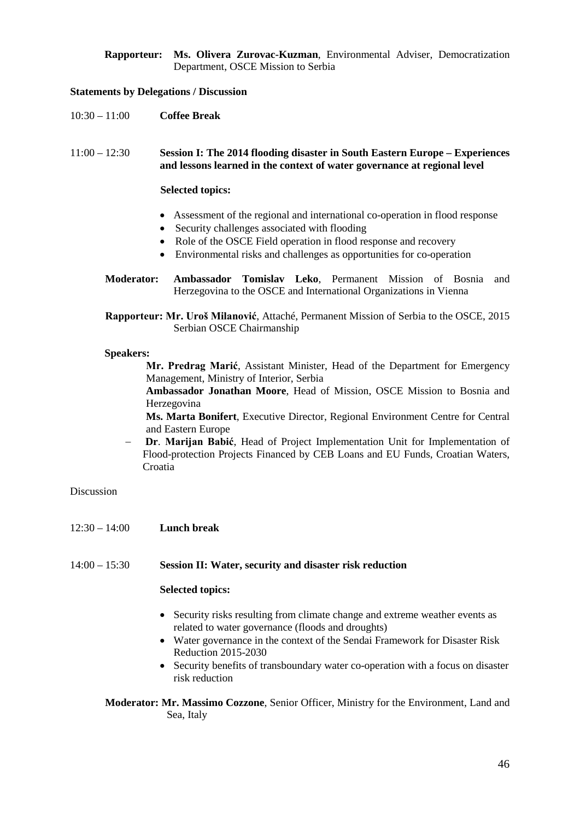**Rapporteur: Ms. Olivera Zurovac-Kuzman**, Environmental Adviser, Democratization Department, OSCE Mission to Serbia

### **Statements by Delegations / Discussion**

10:30 – 11:00 **Coffee Break**

11:00 – 12:30 **Session I: The 2014 flooding disaster in South Eastern Europe – Experiences and lessons learned in the context of water governance at regional level**

#### **Selected topics:**

- Assessment of the regional and international co-operation in flood response
- Security challenges associated with flooding
- Role of the OSCE Field operation in flood response and recovery
- Environmental risks and challenges as opportunities for co-operation
- **Moderator: Ambassador Tomislav Leko**, Permanent Mission of Bosnia and Herzegovina to the OSCE and International Organizations in Vienna
- **Rapporteur: Mr. Uroš Milanović**, Attaché, Permanent Mission of Serbia to the OSCE, 2015 Serbian OSCE Chairmanship

#### **Speakers:**

**Mr. Predrag Marić**, Assistant Minister, Head of the Department for Emergency Management, Ministry of Interior, Serbia

− **Ambassador Jonathan Moore**, Head of Mission, OSCE Mission to Bosnia and Herzegovina

− **Ms. Marta Bonifert**, Executive Director, Regional Environment Centre for Central and Eastern Europe

− **Dr**. **Marijan Babić**, Head of Project Implementation Unit for Implementation of Flood-protection Projects Financed by CEB Loans and EU Funds, Croatian Waters, Croatia

#### Discussion

- 12:30 14:00 **Lunch break**
- 14:00 15:30 **Session II: Water, security and disaster risk reduction**

## **Selected topics:**

- Security risks resulting from climate change and extreme weather events as related to water governance (floods and droughts)
- Water governance in the context of the Sendai Framework for Disaster Risk Reduction 2015-2030
- Security benefits of transboundary water co-operation with a focus on disaster risk reduction

**Moderator: Mr. Massimo Cozzone**, Senior Officer, Ministry for the Environment, Land and Sea, Italy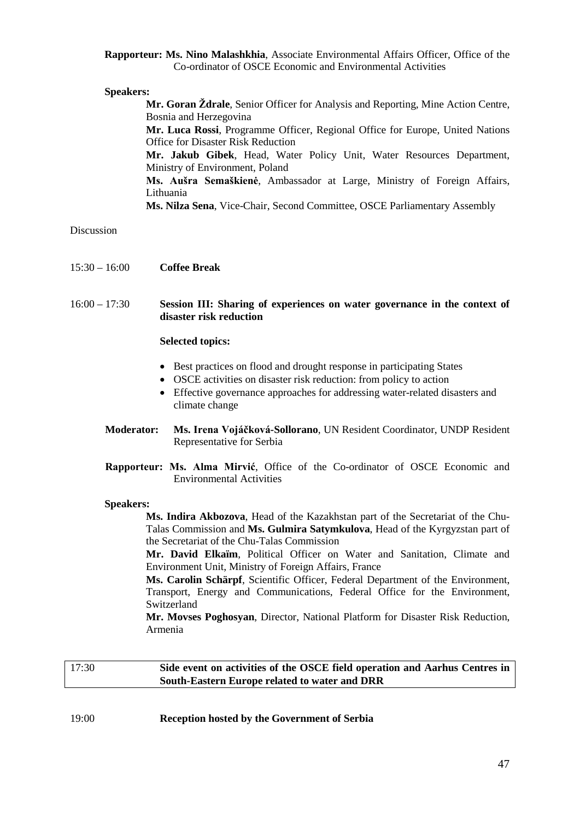#### **Rapporteur: Ms. Nino Malashkhia**, Associate Environmental Affairs Officer, Office of the Co-ordinator of OSCE Economic and Environmental Activities

#### **Speakers:**

**Mr. Goran Ždrale**, Senior Officer for Analysis and Reporting, Mine Action Centre, Bosnia and Herzegovina **Mr. Luca Rossi**, Programme Officer, Regional Office for Europe, United Nations Office for Disaster Risk Reduction − **Mr. Jakub Gibek**, Head, Water Policy Unit, Water Resources Department, Ministry of Environment, Poland − **Ms. Aušra Semaškienė**, Ambassador at Large, Ministry of Foreign Affairs, Lithuania − **Ms. Nilza Sena**, Vice-Chair, Second Committee, OSCE Parliamentary Assembly

### Discussion

- 15:30 16:00 **Coffee Break**
- 16:00 17:30 **Session III: Sharing of experiences on water governance in the context of disaster risk reduction**

#### **Selected topics:**

- Best practices on flood and drought response in participating States
- OSCE activities on disaster risk reduction: from policy to action
- Effective governance approaches for addressing water-related disasters and climate change
- **Moderator: Ms. Irena Vojáčková-Sollorano**, UN Resident Coordinator, UNDP Resident Representative for Serbia
- **Rapporteur: Ms. Alma Mirvić**, Office of the Co-ordinator of OSCE Economic and Environmental Activities

#### **Speakers:**

− **Ms. Indira Akbozova**, Head of the Kazakhstan part of the Secretariat of the Chu-Talas Commission and **Ms. Gulmira Satymkulova**, Head of the Kyrgyzstan part of the Secretariat of the Chu-Talas Commission

− **Mr. David Elkaïm**, Political Officer on Water and Sanitation, Climate and Environment Unit, Ministry of Foreign Affairs, France

− **Ms. Carolin Schärpf**, Scientific Officer, Federal Department of the Environment, Transport, Energy and Communications, Federal Office for the Environment, Switzerland

**Mr. Movses Poghosyan**, Director, National Platform for Disaster Risk Reduction, Armenia

## 17:30 **Side event on activities of the OSCE field operation and Aarhus Centres in South-Eastern Europe related to water and DRR**

19:00 **Reception hosted by the Government of Serbia**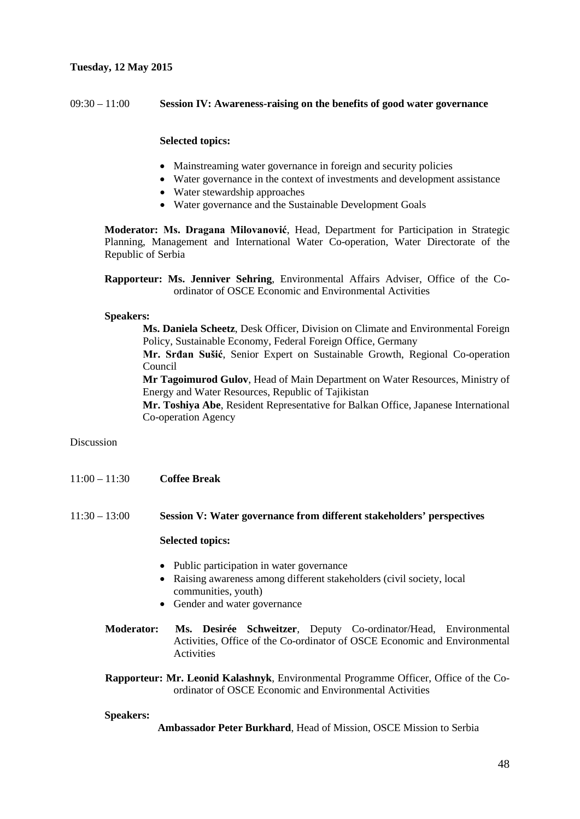## **Tuesday, 12 May 2015**

## 09:30 – 11:00 **Session IV: Awareness-raising on the benefits of good water governance**

## **Selected topics:**

- Mainstreaming water governance in foreign and security policies
- Water governance in the context of investments and development assistance
- Water stewardship approaches
- Water governance and the Sustainable Development Goals

**Moderator: Ms. Dragana Milovanović**, Head, Department for Participation in Strategic Planning, Management and International Water Co-operation, Water Directorate of the Republic of Serbia

**Rapporteur: Ms. Jenniver Sehring**, Environmental Affairs Adviser, Office of the Coordinator of OSCE Economic and Environmental Activities

### **Speakers:**

− **Ms. Daniela Scheetz**, Desk Officer, Division on Climate and Environmental Foreign Policy, Sustainable Economy, Federal Foreign Office, Germany

− **Mr. Srđan Sušić**, Senior Expert on Sustainable Growth, Regional Co-operation Council

− **Mr Tagoimurod Gulov**, Head of Main Department on Water Resources, Ministry of Energy and Water Resources, Republic of Tajikistan

**Mr. Toshiya Abe**, Resident Representative for Balkan Office, Japanese International Co-operation Agency

## Discussion

11:00 – 11:30 **Coffee Break**

### 11:30 – 13:00 **Session V: Water governance from different stakeholders' perspectives**

#### **Selected topics:**

- Public participation in water governance
- Raising awareness among different stakeholders (civil society, local communities, youth)
- Gender and water governance
- **Moderator: Ms. Desirée Schweitzer**, Deputy Co-ordinator/Head, Environmental Activities, Office of the Co-ordinator of OSCE Economic and Environmental **Activities**
- **Rapporteur: Mr. Leonid Kalashnyk**, Environmental Programme Officer, Office of the Coordinator of OSCE Economic and Environmental Activities

#### **Speakers:**

− **Ambassador Peter Burkhard**, Head of Mission, OSCE Mission to Serbia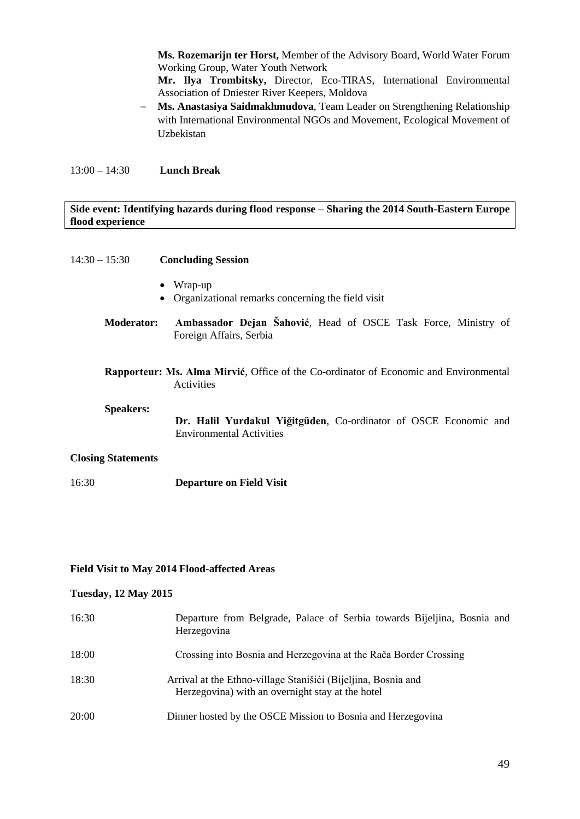− **Ms. Rozemarijn ter Horst,** Member of the Advisory Board, World Water Forum Working Group, Water Youth Network

Mr. Ilya Trombitsky, Director, Eco-TIRAS, International Environmental Association of Dniester River Keepers, Moldova

− **Ms. Anastasiya Saidmakhmudova**, Team Leader on Strengthening Relationship with International Environmental NGOs and Movement, Ecological Movement of Uzbekistan

13:00 – 14:30 **Lunch Break**

## **Side event: Identifying hazards during flood response – Sharing the 2014 South-Eastern Europe flood experience**

| $14:30 - 15:30$           | <b>Concluding Session</b>                                                                           |
|---------------------------|-----------------------------------------------------------------------------------------------------|
|                           | Wrap-up<br>Organizational remarks concerning the field visit                                        |
| <b>Moderator:</b>         | Ambassador Dejan Šahović, Head of OSCE Task Force, Ministry of<br>Foreign Affairs, Serbia           |
|                           | Rapporteur: Ms. Alma Mirvić, Office of the Co-ordinator of Economic and Environmental<br>Activities |
| <b>Speakers:</b>          | Dr. Halil Yurdakul Yiğitgüden, Co-ordinator of OSCE Economic and<br><b>Environmental Activities</b> |
| <b>Closing Statements</b> |                                                                                                     |
| 16:30                     | <b>Departure on Field Visit</b>                                                                     |

## **Field Visit to May 2014 Flood-affected Areas**

### **Tuesday, 12 May 2015**

| 16:30 | Departure from Belgrade, Palace of Serbia towards Bijeljina, Bosnia and<br>Herzegovina                            |
|-------|-------------------------------------------------------------------------------------------------------------------|
| 18:00 | Crossing into Bosnia and Herzegovina at the Rača Border Crossing                                                  |
| 18:30 | Arrival at the Ethno-village Stanišići (Bijeljina, Bosnia and<br>Herzegovina) with an overnight stay at the hotel |
| 20:00 | Dinner hosted by the OSCE Mission to Bosnia and Herzegovina                                                       |